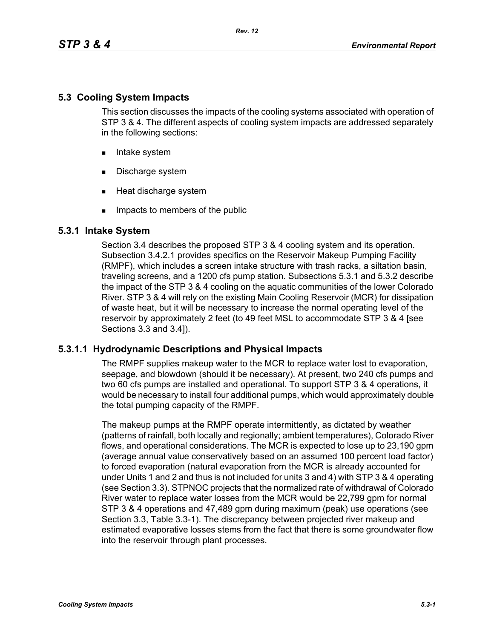## **5.3 Cooling System Impacts**

This section discusses the impacts of the cooling systems associated with operation of STP 3 & 4. The different aspects of cooling system impacts are addressed separately in the following sections:

- **Intake system**
- Discharge system
- **Heat discharge system**
- **IMPACTE THE MEMBER IMP** Impacts to members of the public

## **5.3.1 Intake System**

Section 3.4 describes the proposed STP 3 & 4 cooling system and its operation. Subsection 3.4.2.1 provides specifics on the Reservoir Makeup Pumping Facility (RMPF), which includes a screen intake structure with trash racks, a siltation basin, traveling screens, and a 1200 cfs pump station. Subsections 5.3.1 and 5.3.2 describe the impact of the STP 3 & 4 cooling on the aquatic communities of the lower Colorado River. STP 3 & 4 will rely on the existing Main Cooling Reservoir (MCR) for dissipation of waste heat, but it will be necessary to increase the normal operating level of the reservoir by approximately 2 feet (to 49 feet MSL to accommodate STP 3 & 4 [see Sections 3.3 and 3.4]).

### **5.3.1.1 Hydrodynamic Descriptions and Physical Impacts**

The RMPF supplies makeup water to the MCR to replace water lost to evaporation, seepage, and blowdown (should it be necessary). At present, two 240 cfs pumps and two 60 cfs pumps are installed and operational. To support STP 3 & 4 operations, it would be necessary to install four additional pumps, which would approximately double the total pumping capacity of the RMPF.

The makeup pumps at the RMPF operate intermittently, as dictated by weather (patterns of rainfall, both locally and regionally; ambient temperatures), Colorado River flows, and operational considerations. The MCR is expected to lose up to 23,190 gpm (average annual value conservatively based on an assumed 100 percent load factor) to forced evaporation (natural evaporation from the MCR is already accounted for under Units 1 and 2 and thus is not included for units 3 and 4) with STP 3 & 4 operating (see Section 3.3). STPNOC projects that the normalized rate of withdrawal of Colorado River water to replace water losses from the MCR would be 22,799 gpm for normal STP 3 & 4 operations and 47,489 gpm during maximum (peak) use operations (see Section 3.3, Table 3.3-1). The discrepancy between projected river makeup and estimated evaporative losses stems from the fact that there is some groundwater flow into the reservoir through plant processes.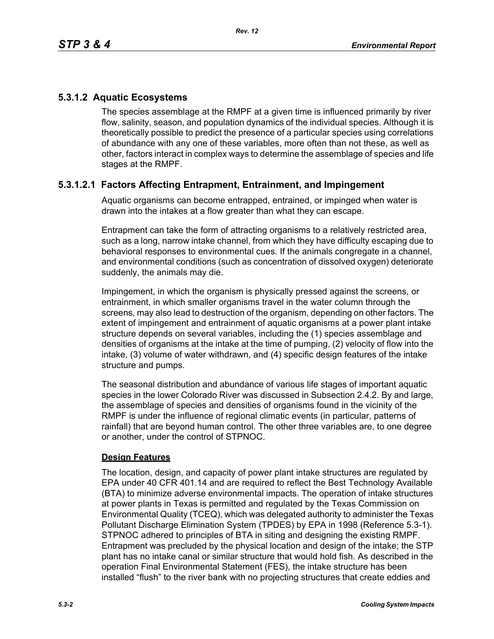# **5.3.1.2 Aquatic Ecosystems**

The species assemblage at the RMPF at a given time is influenced primarily by river flow, salinity, season, and population dynamics of the individual species. Although it is theoretically possible to predict the presence of a particular species using correlations of abundance with any one of these variables, more often than not these, as well as other, factors interact in complex ways to determine the assemblage of species and life stages at the RMPF.

# **5.3.1.2.1 Factors Affecting Entrapment, Entrainment, and Impingement**

Aquatic organisms can become entrapped, entrained, or impinged when water is drawn into the intakes at a flow greater than what they can escape.

Entrapment can take the form of attracting organisms to a relatively restricted area, such as a long, narrow intake channel, from which they have difficulty escaping due to behavioral responses to environmental cues. If the animals congregate in a channel, and environmental conditions (such as concentration of dissolved oxygen) deteriorate suddenly, the animals may die.

Impingement, in which the organism is physically pressed against the screens, or entrainment, in which smaller organisms travel in the water column through the screens, may also lead to destruction of the organism, depending on other factors. The extent of impingement and entrainment of aquatic organisms at a power plant intake structure depends on several variables, including the (1) species assemblage and densities of organisms at the intake at the time of pumping, (2) velocity of flow into the intake, (3) volume of water withdrawn, and (4) specific design features of the intake structure and pumps.

The seasonal distribution and abundance of various life stages of important aquatic species in the lower Colorado River was discussed in Subsection 2.4.2. By and large, the assemblage of species and densities of organisms found in the vicinity of the RMPF is under the influence of regional climatic events (in particular, patterns of rainfall) that are beyond human control. The other three variables are, to one degree or another, under the control of STPNOC.

### **Design Features**

The location, design, and capacity of power plant intake structures are regulated by EPA under 40 CFR 401.14 and are required to reflect the Best Technology Available (BTA) to minimize adverse environmental impacts. The operation of intake structures at power plants in Texas is permitted and regulated by the Texas Commission on Environmental Quality (TCEQ), which was delegated authority to administer the Texas Pollutant Discharge Elimination System (TPDES) by EPA in 1998 (Reference 5.3-1). STPNOC adhered to principles of BTA in siting and designing the existing RMPF. Entrapment was precluded by the physical location and design of the intake; the STP plant has no intake canal or similar structure that would hold fish. As described in the operation Final Environmental Statement (FES), the intake structure has been installed "flush" to the river bank with no projecting structures that create eddies and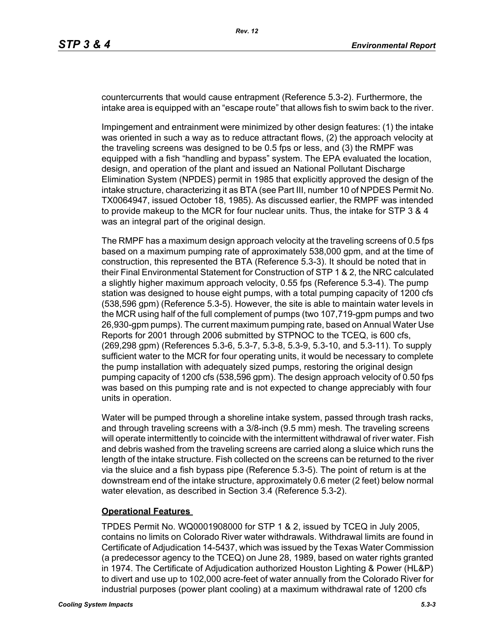countercurrents that would cause entrapment (Reference 5.3-2). Furthermore, the intake area is equipped with an "escape route" that allows fish to swim back to the river.

Impingement and entrainment were minimized by other design features: (1) the intake was oriented in such a way as to reduce attractant flows, (2) the approach velocity at the traveling screens was designed to be 0.5 fps or less, and (3) the RMPF was equipped with a fish "handling and bypass" system. The EPA evaluated the location, design, and operation of the plant and issued an National Pollutant Discharge Elimination System (NPDES) permit in 1985 that explicitly approved the design of the intake structure, characterizing it as BTA (see Part III, number 10 of NPDES Permit No. TX0064947, issued October 18, 1985). As discussed earlier, the RMPF was intended to provide makeup to the MCR for four nuclear units. Thus, the intake for STP 3 & 4 was an integral part of the original design.

The RMPF has a maximum design approach velocity at the traveling screens of 0.5 fps based on a maximum pumping rate of approximately 538,000 gpm, and at the time of construction, this represented the BTA (Reference 5.3-3). It should be noted that in their Final Environmental Statement for Construction of STP 1 & 2, the NRC calculated a slightly higher maximum approach velocity, 0.55 fps (Reference 5.3-4). The pump station was designed to house eight pumps, with a total pumping capacity of 1200 cfs (538,596 gpm) (Reference 5.3-5). However, the site is able to maintain water levels in the MCR using half of the full complement of pumps (two 107,719-gpm pumps and two 26,930-gpm pumps). The current maximum pumping rate, based on Annual Water Use Reports for 2001 through 2006 submitted by STPNOC to the TCEQ, is 600 cfs, (269,298 gpm) (References 5.3-6, 5.3-7, 5.3-8, 5.3-9, 5.3-10, and 5.3-11). To supply sufficient water to the MCR for four operating units, it would be necessary to complete the pump installation with adequately sized pumps, restoring the original design pumping capacity of 1200 cfs (538,596 gpm). The design approach velocity of 0.50 fps was based on this pumping rate and is not expected to change appreciably with four units in operation.

Water will be pumped through a shoreline intake system, passed through trash racks, and through traveling screens with a 3/8-inch (9.5 mm) mesh. The traveling screens will operate intermittently to coincide with the intermittent withdrawal of river water. Fish and debris washed from the traveling screens are carried along a sluice which runs the length of the intake structure. Fish collected on the screens can be returned to the river via the sluice and a fish bypass pipe (Reference 5.3-5). The point of return is at the downstream end of the intake structure, approximately 0.6 meter (2 feet) below normal water elevation, as described in Section 3.4 (Reference 5.3-2).

#### **Operational Features**

TPDES Permit No. WQ0001908000 for STP 1 & 2, issued by TCEQ in July 2005, contains no limits on Colorado River water withdrawals. Withdrawal limits are found in Certificate of Adjudication 14-5437, which was issued by the Texas Water Commission (a predecessor agency to the TCEQ) on June 28, 1989, based on water rights granted in 1974. The Certificate of Adjudication authorized Houston Lighting & Power (HL&P) to divert and use up to 102,000 acre-feet of water annually from the Colorado River for industrial purposes (power plant cooling) at a maximum withdrawal rate of 1200 cfs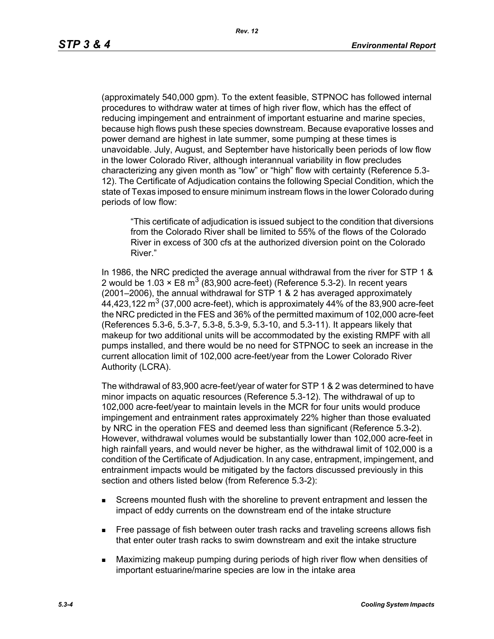(approximately 540,000 gpm). To the extent feasible, STPNOC has followed internal procedures to withdraw water at times of high river flow, which has the effect of reducing impingement and entrainment of important estuarine and marine species, because high flows push these species downstream. Because evaporative losses and power demand are highest in late summer, some pumping at these times is unavoidable. July, August, and September have historically been periods of low flow in the lower Colorado River, although interannual variability in flow precludes characterizing any given month as "low" or "high" flow with certainty (Reference 5.3- 12). The Certificate of Adjudication contains the following Special Condition, which the state of Texas imposed to ensure minimum instream flows in the lower Colorado during periods of low flow:

"This certificate of adjudication is issued subject to the condition that diversions from the Colorado River shall be limited to 55% of the flows of the Colorado River in excess of 300 cfs at the authorized diversion point on the Colorado River."

In 1986, the NRC predicted the average annual withdrawal from the river for STP 1 & 2 would be 1.03  $\times$  E8 m<sup>3</sup> (83,900 acre-feet) (Reference 5.3-2). In recent years (2001–2006), the annual withdrawal for STP 1 & 2 has averaged approximately 44,423,122  $\text{m}^3$  (37,000 acre-feet), which is approximately 44% of the 83,900 acre-feet the NRC predicted in the FES and 36% of the permitted maximum of 102,000 acre-feet (References 5.3-6, 5.3-7, 5.3-8, 5.3-9, 5.3-10, and 5.3-11). It appears likely that makeup for two additional units will be accommodated by the existing RMPF with all pumps installed, and there would be no need for STPNOC to seek an increase in the current allocation limit of 102,000 acre-feet/year from the Lower Colorado River Authority (LCRA).

The withdrawal of 83,900 acre-feet/year of water for STP 1 & 2 was determined to have minor impacts on aquatic resources (Reference 5.3-12). The withdrawal of up to 102,000 acre-feet/year to maintain levels in the MCR for four units would produce impingement and entrainment rates approximately 22% higher than those evaluated by NRC in the operation FES and deemed less than significant (Reference 5.3-2). However, withdrawal volumes would be substantially lower than 102,000 acre-feet in high rainfall years, and would never be higher, as the withdrawal limit of 102,000 is a condition of the Certificate of Adjudication. In any case, entrapment, impingement, and entrainment impacts would be mitigated by the factors discussed previously in this section and others listed below (from Reference 5.3-2):

- Screens mounted flush with the shoreline to prevent entrapment and lessen the impact of eddy currents on the downstream end of the intake structure
- **Free passage of fish between outer trash racks and traveling screens allows fish** that enter outer trash racks to swim downstream and exit the intake structure
- Maximizing makeup pumping during periods of high river flow when densities of important estuarine/marine species are low in the intake area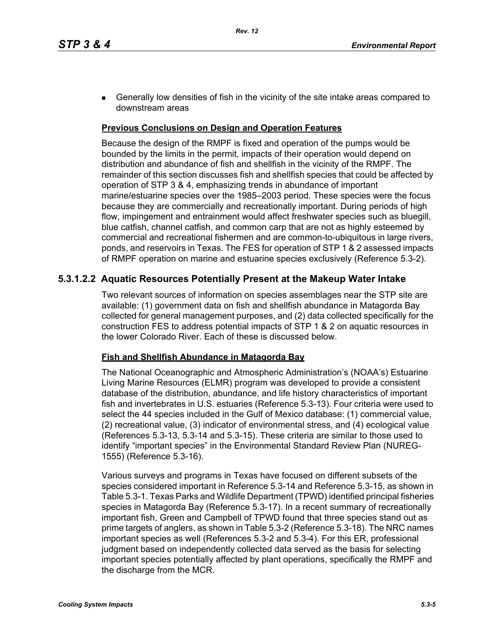**Generally low densities of fish in the vicinity of the site intake areas compared to** downstream areas

### **Previous Conclusions on Design and Operation Features**

Because the design of the RMPF is fixed and operation of the pumps would be bounded by the limits in the permit, impacts of their operation would depend on distribution and abundance of fish and shellfish in the vicinity of the RMPF. The remainder of this section discusses fish and shellfish species that could be affected by operation of STP 3 & 4, emphasizing trends in abundance of important marine/estuarine species over the 1985–2003 period. These species were the focus because they are commercially and recreationally important. During periods of high flow, impingement and entrainment would affect freshwater species such as bluegill, blue catfish, channel catfish, and common carp that are not as highly esteemed by commercial and recreational fishermen and are common-to-ubiquitous in large rivers, ponds, and reservoirs in Texas. The FES for operation of STP 1 & 2 assessed impacts of RMPF operation on marine and estuarine species exclusively (Reference 5.3-2).

## **5.3.1.2.2 Aquatic Resources Potentially Present at the Makeup Water Intake**

Two relevant sources of information on species assemblages near the STP site are available: (1) government data on fish and shellfish abundance in Matagorda Bay collected for general management purposes, and (2) data collected specifically for the construction FES to address potential impacts of STP 1 & 2 on aquatic resources in the lower Colorado River. Each of these is discussed below.

#### **Fish and Shellfish Abundance in Matagorda Bay**

The National Oceanographic and Atmospheric Administration's (NOAA's) Estuarine Living Marine Resources (ELMR) program was developed to provide a consistent database of the distribution, abundance, and life history characteristics of important fish and invertebrates in U.S. estuaries (Reference 5.3-13). Four criteria were used to select the 44 species included in the Gulf of Mexico database: (1) commercial value, (2) recreational value, (3) indicator of environmental stress, and (4) ecological value (References 5.3-13, 5.3-14 and 5.3-15). These criteria are similar to those used to identify "important species" in the Environmental Standard Review Plan (NUREG-1555) (Reference 5.3-16).

Various surveys and programs in Texas have focused on different subsets of the species considered important in Reference 5.3-14 and Reference 5.3-15, as shown in Table 5.3-1. Texas Parks and Wildlife Department (TPWD) identified principal fisheries species in Matagorda Bay (Reference 5.3-17). In a recent summary of recreationally important fish, Green and Campbell of TPWD found that three species stand out as prime targets of anglers, as shown in Table 5.3-2 (Reference 5.3-18). The NRC names important species as well (References 5.3-2 and 5.3-4). For this ER, professional judgment based on independently collected data served as the basis for selecting important species potentially affected by plant operations, specifically the RMPF and the discharge from the MCR.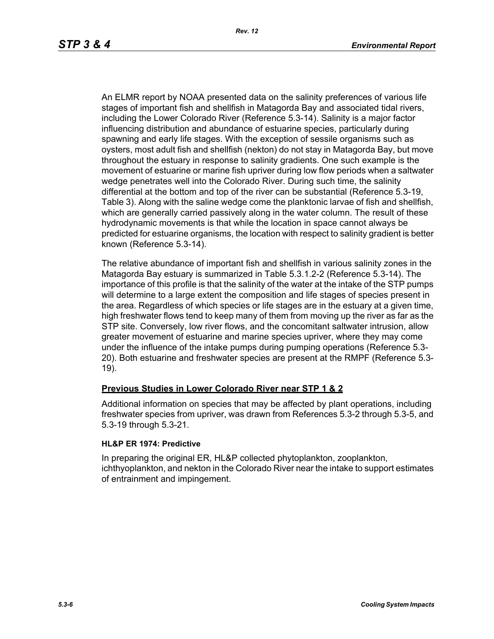An ELMR report by NOAA presented data on the salinity preferences of various life stages of important fish and shellfish in Matagorda Bay and associated tidal rivers, including the Lower Colorado River (Reference 5.3-14). Salinity is a major factor influencing distribution and abundance of estuarine species, particularly during spawning and early life stages. With the exception of sessile organisms such as oysters, most adult fish and shellfish (nekton) do not stay in Matagorda Bay, but move throughout the estuary in response to salinity gradients. One such example is the movement of estuarine or marine fish upriver during low flow periods when a saltwater wedge penetrates well into the Colorado River. During such time, the salinity differential at the bottom and top of the river can be substantial (Reference 5.3-19, Table 3). Along with the saline wedge come the planktonic larvae of fish and shellfish, which are generally carried passively along in the water column. The result of these hydrodynamic movements is that while the location in space cannot always be predicted for estuarine organisms, the location with respect to salinity gradient is better known (Reference 5.3-14).

The relative abundance of important fish and shellfish in various salinity zones in the Matagorda Bay estuary is summarized in Table 5.3.1.2-2 (Reference 5.3-14). The importance of this profile is that the salinity of the water at the intake of the STP pumps will determine to a large extent the composition and life stages of species present in the area. Regardless of which species or life stages are in the estuary at a given time, high freshwater flows tend to keep many of them from moving up the river as far as the STP site. Conversely, low river flows, and the concomitant saltwater intrusion, allow greater movement of estuarine and marine species upriver, where they may come under the influence of the intake pumps during pumping operations (Reference 5.3- 20). Both estuarine and freshwater species are present at the RMPF (Reference 5.3- 19).

### **Previous Studies in Lower Colorado River near STP 1 & 2**

Additional information on species that may be affected by plant operations, including freshwater species from upriver, was drawn from References 5.3-2 through 5.3-5, and 5.3-19 through 5.3-21.

#### **HL&P ER 1974: Predictive**

In preparing the original ER, HL&P collected phytoplankton, zooplankton, ichthyoplankton, and nekton in the Colorado River near the intake to support estimates of entrainment and impingement.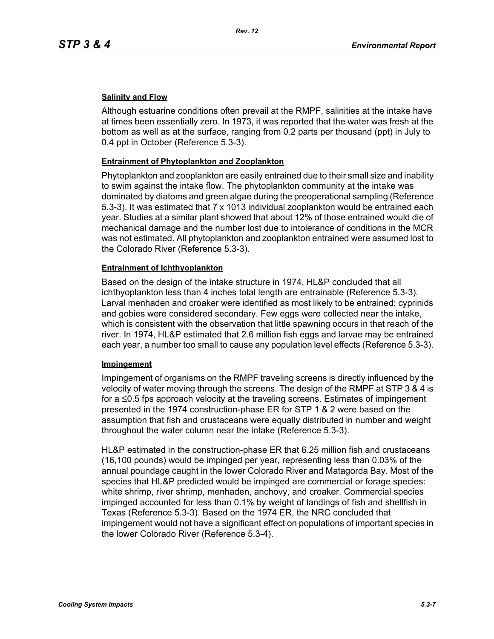### **Salinity and Flow**

Although estuarine conditions often prevail at the RMPF, salinities at the intake have at times been essentially zero. In 1973, it was reported that the water was fresh at the bottom as well as at the surface, ranging from 0.2 parts per thousand (ppt) in July to 0.4 ppt in October (Reference 5.3-3).

### **Entrainment of Phytoplankton and Zooplankton**

Phytoplankton and zooplankton are easily entrained due to their small size and inability to swim against the intake flow. The phytoplankton community at the intake was dominated by diatoms and green algae during the preoperational sampling (Reference 5.3-3). It was estimated that 7 x 1013 individual zooplankton would be entrained each year. Studies at a similar plant showed that about 12% of those entrained would die of mechanical damage and the number lost due to intolerance of conditions in the MCR was not estimated. All phytoplankton and zooplankton entrained were assumed lost to the Colorado River (Reference 5.3-3).

### **Entrainment of Ichthyoplankton**

Based on the design of the intake structure in 1974, HL&P concluded that all ichthyoplankton less than 4 inches total length are entrainable (Reference 5.3-3). Larval menhaden and croaker were identified as most likely to be entrained; cyprinids and gobies were considered secondary. Few eggs were collected near the intake, which is consistent with the observation that little spawning occurs in that reach of the river. In 1974, HL&P estimated that 2.6 million fish eggs and larvae may be entrained each year, a number too small to cause any population level effects (Reference 5.3-3).

#### **Impingement**

Impingement of organisms on the RMPF traveling screens is directly influenced by the velocity of water moving through the screens. The design of the RMPF at STP 3 & 4 is for a ≤0.5 fps approach velocity at the traveling screens. Estimates of impingement presented in the 1974 construction-phase ER for STP 1 & 2 were based on the assumption that fish and crustaceans were equally distributed in number and weight throughout the water column near the intake (Reference 5.3-3).

HL&P estimated in the construction-phase ER that 6.25 million fish and crustaceans (16,100 pounds) would be impinged per year, representing less than 0.03% of the annual poundage caught in the lower Colorado River and Matagorda Bay. Most of the species that HL&P predicted would be impinged are commercial or forage species: white shrimp, river shrimp, menhaden, anchovy, and croaker. Commercial species impinged accounted for less than 0.1% by weight of landings of fish and shellfish in Texas (Reference 5.3-3). Based on the 1974 ER, the NRC concluded that impingement would not have a significant effect on populations of important species in the lower Colorado River (Reference 5.3-4).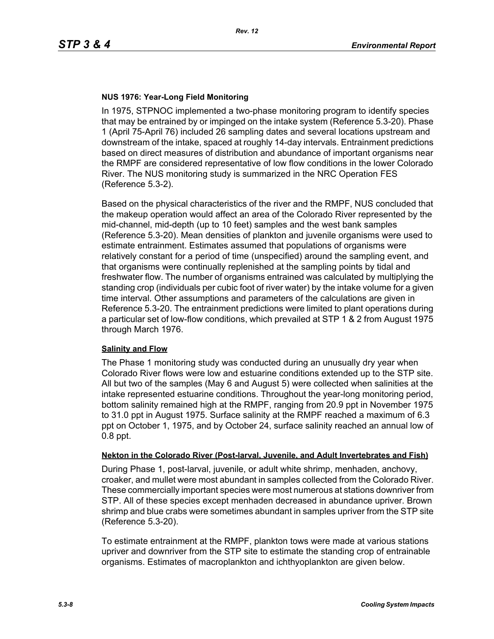### **NUS 1976: Year-Long Field Monitoring**

In 1975, STPNOC implemented a two-phase monitoring program to identify species that may be entrained by or impinged on the intake system (Reference 5.3-20). Phase 1 (April 75-April 76) included 26 sampling dates and several locations upstream and downstream of the intake, spaced at roughly 14-day intervals. Entrainment predictions based on direct measures of distribution and abundance of important organisms near the RMPF are considered representative of low flow conditions in the lower Colorado River. The NUS monitoring study is summarized in the NRC Operation FES (Reference 5.3-2).

Based on the physical characteristics of the river and the RMPF, NUS concluded that the makeup operation would affect an area of the Colorado River represented by the mid-channel, mid-depth (up to 10 feet) samples and the west bank samples (Reference 5.3-20). Mean densities of plankton and juvenile organisms were used to estimate entrainment. Estimates assumed that populations of organisms were relatively constant for a period of time (unspecified) around the sampling event, and that organisms were continually replenished at the sampling points by tidal and freshwater flow. The number of organisms entrained was calculated by multiplying the standing crop (individuals per cubic foot of river water) by the intake volume for a given time interval. Other assumptions and parameters of the calculations are given in Reference 5.3-20. The entrainment predictions were limited to plant operations during a particular set of low-flow conditions, which prevailed at STP 1 & 2 from August 1975 through March 1976.

#### **Salinity and Flow**

The Phase 1 monitoring study was conducted during an unusually dry year when Colorado River flows were low and estuarine conditions extended up to the STP site. All but two of the samples (May 6 and August 5) were collected when salinities at the intake represented estuarine conditions. Throughout the year-long monitoring period, bottom salinity remained high at the RMPF, ranging from 20.9 ppt in November 1975 to 31.0 ppt in August 1975. Surface salinity at the RMPF reached a maximum of 6.3 ppt on October 1, 1975, and by October 24, surface salinity reached an annual low of 0.8 ppt.

#### **Nekton in the Colorado River (Post-larval, Juvenile, and Adult Invertebrates and Fish)**

During Phase 1, post-larval, juvenile, or adult white shrimp, menhaden, anchovy, croaker, and mullet were most abundant in samples collected from the Colorado River. These commercially important species were most numerous at stations downriver from STP. All of these species except menhaden decreased in abundance upriver. Brown shrimp and blue crabs were sometimes abundant in samples upriver from the STP site (Reference 5.3-20).

To estimate entrainment at the RMPF, plankton tows were made at various stations upriver and downriver from the STP site to estimate the standing crop of entrainable organisms. Estimates of macroplankton and ichthyoplankton are given below.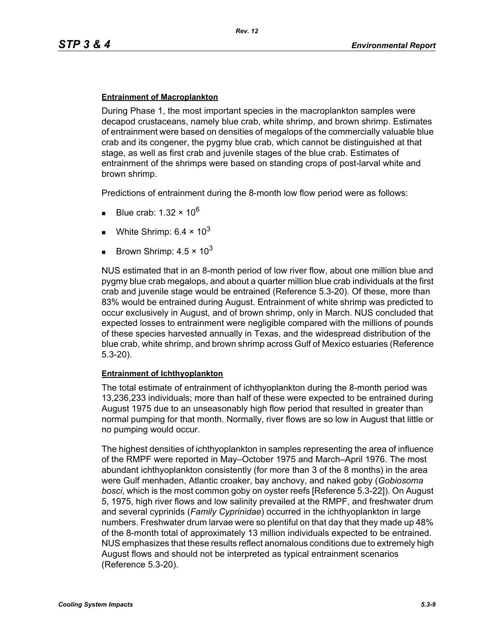#### **Entrainment of Macroplankton**

During Phase 1, the most important species in the macroplankton samples were decapod crustaceans, namely blue crab, white shrimp, and brown shrimp. Estimates of entrainment were based on densities of megalops of the commercially valuable blue crab and its congener, the pygmy blue crab, which cannot be distinguished at that stage, as well as first crab and juvenile stages of the blue crab. Estimates of entrainment of the shrimps were based on standing crops of post-larval white and brown shrimp.

Predictions of entrainment during the 8-month low flow period were as follows:

- Blue crab: 1.32  $\times$  10<sup>6</sup>
- White Shrimp:  $6.4 \times 10^3$
- Brown Shrimp:  $4.5 \times 10^3$

NUS estimated that in an 8-month period of low river flow, about one million blue and pygmy blue crab megalops, and about a quarter million blue crab individuals at the first crab and juvenile stage would be entrained (Reference 5.3-20). Of these, more than 83% would be entrained during August. Entrainment of white shrimp was predicted to occur exclusively in August, and of brown shrimp, only in March. NUS concluded that expected losses to entrainment were negligible compared with the millions of pounds of these species harvested annually in Texas, and the widespread distribution of the blue crab, white shrimp, and brown shrimp across Gulf of Mexico estuaries (Reference 5.3-20).

#### **Entrainment of Ichthyoplankton**

The total estimate of entrainment of ichthyoplankton during the 8-month period was 13,236,233 individuals; more than half of these were expected to be entrained during August 1975 due to an unseasonably high flow period that resulted in greater than normal pumping for that month. Normally, river flows are so low in August that little or no pumping would occur.

The highest densities of ichthyoplankton in samples representing the area of influence of the RMPF were reported in May–October 1975 and March–April 1976. The most abundant ichthyoplankton consistently (for more than 3 of the 8 months) in the area were Gulf menhaden, Atlantic croaker, bay anchovy, and naked goby (*Gobiosoma bosci*, which is the most common goby on oyster reefs [Reference 5.3-22]). On August 5, 1975, high river flows and low salinity prevailed at the RMPF, and freshwater drum and several cyprinids (*Family Cyprinidae*) occurred in the ichthyoplankton in large numbers. Freshwater drum larvae were so plentiful on that day that they made up 48% of the 8-month total of approximately 13 million individuals expected to be entrained. NUS emphasizes that these results reflect anomalous conditions due to extremely high August flows and should not be interpreted as typical entrainment scenarios (Reference 5.3-20).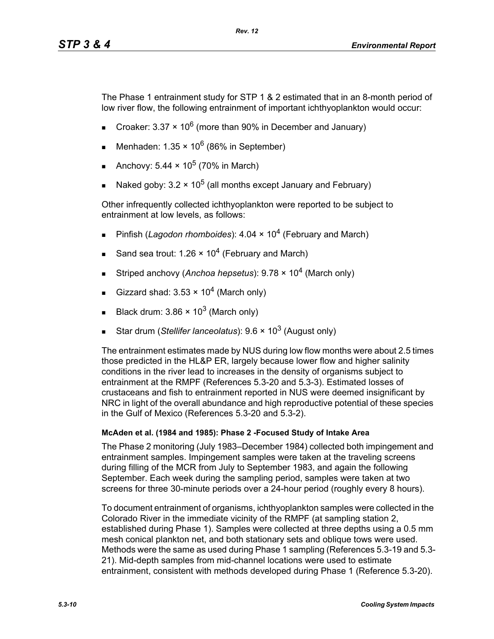The Phase 1 entrainment study for STP 1 & 2 estimated that in an 8-month period of low river flow, the following entrainment of important ichthyoplankton would occur:

- Croaker: 3.37  $\times$  10<sup>6</sup> (more than 90% in December and January)
- Menhaden:  $1.35 \times 10^6$  (86% in September)
- Anchovy:  $5.44 \times 10^5$  (70% in March)
- Naked goby:  $3.2 \times 10^5$  (all months except January and February)

Other infrequently collected ichthyoplankton were reported to be subject to entrainment at low levels, as follows:

- Pinfish (*Lagodon rhomboides*): 4.04 × 10<sup>4</sup> (February and March)
- Sand sea trout: 1.26  $\times$  10<sup>4</sup> (February and March)
- Striped anchovy (*Anchoa hepsetus*): 9.78 × 104 (March only)
- Gizzard shad:  $3.53 \times 10^4$  (March only)
- Black drum:  $3.86 \times 10^3$  (March only)
- Star drum (*Stellifer lanceolatus*): 9.6 × 10<sup>3</sup> (August only)

The entrainment estimates made by NUS during low flow months were about 2.5 times those predicted in the HL&P ER, largely because lower flow and higher salinity conditions in the river lead to increases in the density of organisms subject to entrainment at the RMPF (References 5.3-20 and 5.3-3). Estimated losses of crustaceans and fish to entrainment reported in NUS were deemed insignificant by NRC in light of the overall abundance and high reproductive potential of these species in the Gulf of Mexico (References 5.3-20 and 5.3-2).

### **McAden et al. (1984 and 1985): Phase 2 -Focused Study of Intake Area**

The Phase 2 monitoring (July 1983–December 1984) collected both impingement and entrainment samples. Impingement samples were taken at the traveling screens during filling of the MCR from July to September 1983, and again the following September. Each week during the sampling period, samples were taken at two screens for three 30-minute periods over a 24-hour period (roughly every 8 hours).

To document entrainment of organisms, ichthyoplankton samples were collected in the Colorado River in the immediate vicinity of the RMPF (at sampling station 2, established during Phase 1). Samples were collected at three depths using a 0.5 mm mesh conical plankton net, and both stationary sets and oblique tows were used. Methods were the same as used during Phase 1 sampling (References 5.3-19 and 5.3- 21). Mid-depth samples from mid-channel locations were used to estimate entrainment, consistent with methods developed during Phase 1 (Reference 5.3-20).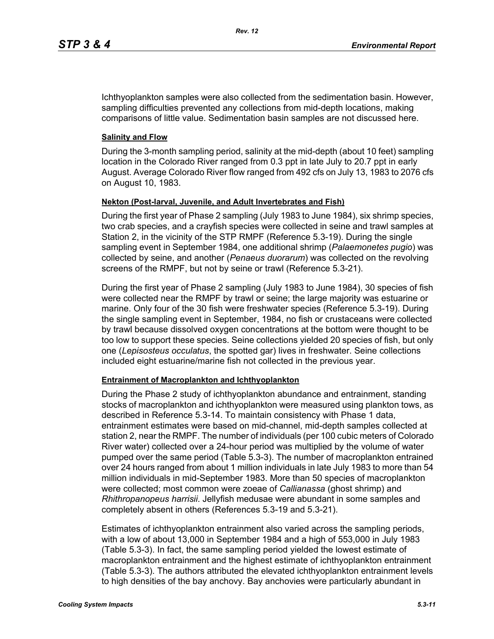Ichthyoplankton samples were also collected from the sedimentation basin. However, sampling difficulties prevented any collections from mid-depth locations, making comparisons of little value. Sedimentation basin samples are not discussed here.

### **Salinity and Flow**

During the 3-month sampling period, salinity at the mid-depth (about 10 feet) sampling location in the Colorado River ranged from 0.3 ppt in late July to 20.7 ppt in early August. Average Colorado River flow ranged from 492 cfs on July 13, 1983 to 2076 cfs on August 10, 1983.

### **Nekton (Post-larval, Juvenile, and Adult Invertebrates and Fish)**

During the first year of Phase 2 sampling (July 1983 to June 1984), six shrimp species, two crab species, and a crayfish species were collected in seine and trawl samples at Station 2, in the vicinity of the STP RMPF (Reference 5.3-19). During the single sampling event in September 1984, one additional shrimp (*Palaemonetes pugio*) was collected by seine, and another (*Penaeus duorarum*) was collected on the revolving screens of the RMPF, but not by seine or trawl (Reference 5.3-21).

During the first year of Phase 2 sampling (July 1983 to June 1984), 30 species of fish were collected near the RMPF by trawl or seine; the large majority was estuarine or marine. Only four of the 30 fish were freshwater species (Reference 5.3-19). During the single sampling event in September, 1984, no fish or crustaceans were collected by trawl because dissolved oxygen concentrations at the bottom were thought to be too low to support these species. Seine collections yielded 20 species of fish, but only one (*Lepisosteus occulatus*, the spotted gar) lives in freshwater. Seine collections included eight estuarine/marine fish not collected in the previous year.

#### **Entrainment of Macroplankton and Ichthyoplankton**

During the Phase 2 study of ichthyoplankton abundance and entrainment, standing stocks of macroplankton and ichthyoplankton were measured using plankton tows, as described in Reference 5.3-14. To maintain consistency with Phase 1 data, entrainment estimates were based on mid-channel, mid-depth samples collected at station 2, near the RMPF. The number of individuals (per 100 cubic meters of Colorado River water) collected over a 24-hour period was multiplied by the volume of water pumped over the same period (Table 5.3-3). The number of macroplankton entrained over 24 hours ranged from about 1 million individuals in late July 1983 to more than 54 million individuals in mid-September 1983. More than 50 species of macroplankton were collected; most common were zoeae of *Callianassa* (ghost shrimp) and *Rhithropanopeus harrisii*. Jellyfish medusae were abundant in some samples and completely absent in others (References 5.3-19 and 5.3-21).

Estimates of ichthyoplankton entrainment also varied across the sampling periods, with a low of about 13,000 in September 1984 and a high of 553,000 in July 1983 (Table 5.3-3). In fact, the same sampling period yielded the lowest estimate of macroplankton entrainment and the highest estimate of ichthyoplankton entrainment (Table 5.3-3). The authors attributed the elevated ichthyoplankton entrainment levels to high densities of the bay anchovy. Bay anchovies were particularly abundant in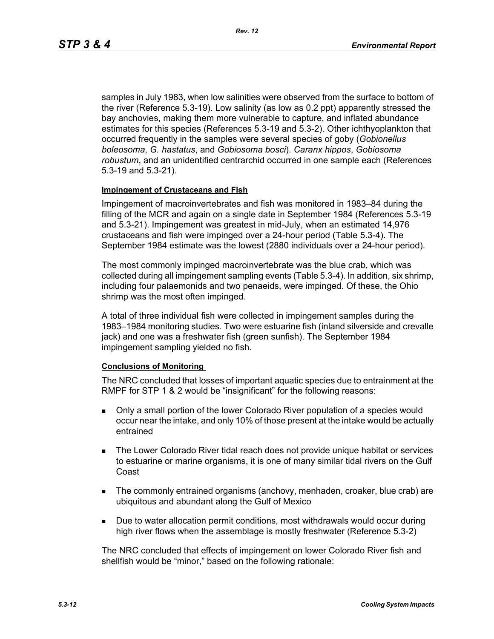samples in July 1983, when low salinities were observed from the surface to bottom of the river (Reference 5.3-19). Low salinity (as low as 0.2 ppt) apparently stressed the bay anchovies, making them more vulnerable to capture, and inflated abundance estimates for this species (References 5.3-19 and 5.3-2). Other ichthyoplankton that occurred frequently in the samples were several species of goby (*Gobionellus boleosoma*, *G. hastatus*, and *Gobiosoma bosci*). *Caranx hippos*, *Gobiosoma robustum*, and an unidentified centrarchid occurred in one sample each (References 5.3-19 and 5.3-21).

#### **Impingement of Crustaceans and Fish**

Impingement of macroinvertebrates and fish was monitored in 1983–84 during the filling of the MCR and again on a single date in September 1984 (References 5.3-19 and 5.3-21). Impingement was greatest in mid-July, when an estimated 14,976 crustaceans and fish were impinged over a 24-hour period (Table 5.3-4). The September 1984 estimate was the lowest (2880 individuals over a 24-hour period).

The most commonly impinged macroinvertebrate was the blue crab, which was collected during all impingement sampling events (Table 5.3-4). In addition, six shrimp, including four palaemonids and two penaeids, were impinged. Of these, the Ohio shrimp was the most often impinged.

A total of three individual fish were collected in impingement samples during the 1983–1984 monitoring studies. Two were estuarine fish (inland silverside and crevalle jack) and one was a freshwater fish (green sunfish). The September 1984 impingement sampling yielded no fish.

#### **Conclusions of Monitoring**

The NRC concluded that losses of important aquatic species due to entrainment at the RMPF for STP 1 & 2 would be "insignificant" for the following reasons:

- Only a small portion of the lower Colorado River population of a species would occur near the intake, and only 10% of those present at the intake would be actually entrained
- **The Lower Colorado River tidal reach does not provide unique habitat or services** to estuarine or marine organisms, it is one of many similar tidal rivers on the Gulf Coast
- The commonly entrained organisms (anchovy, menhaden, croaker, blue crab) are ubiquitous and abundant along the Gulf of Mexico
- **Due to water allocation permit conditions, most withdrawals would occur during** high river flows when the assemblage is mostly freshwater (Reference 5.3-2)

The NRC concluded that effects of impingement on lower Colorado River fish and shellfish would be "minor," based on the following rationale: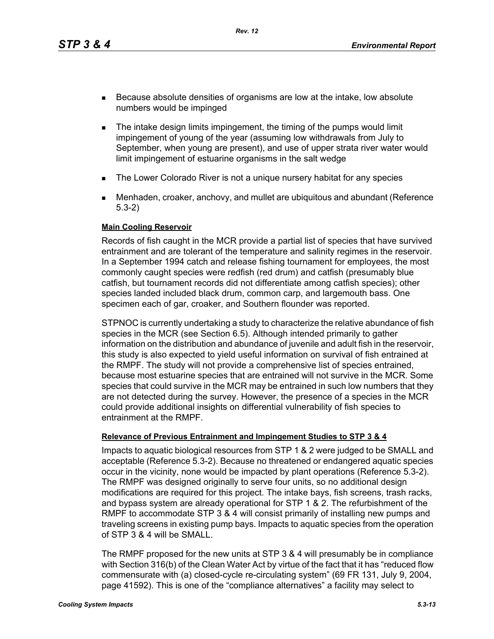*Rev. 12*

- Because absolute densities of organisms are low at the intake, low absolute numbers would be impinged
- **The intake design limits impingement, the timing of the pumps would limit** impingement of young of the year (assuming low withdrawals from July to September, when young are present), and use of upper strata river water would limit impingement of estuarine organisms in the salt wedge
- **The Lower Colorado River is not a unique nursery habitat for any species**
- Menhaden, croaker, anchovy, and mullet are ubiquitous and abundant (Reference 5.3-2)

### **Main Cooling Reservoir**

Records of fish caught in the MCR provide a partial list of species that have survived entrainment and are tolerant of the temperature and salinity regimes in the reservoir. In a September 1994 catch and release fishing tournament for employees, the most commonly caught species were redfish (red drum) and catfish (presumably blue catfish, but tournament records did not differentiate among catfish species); other species landed included black drum, common carp, and largemouth bass. One specimen each of gar, croaker, and Southern flounder was reported.

STPNOC is currently undertaking a study to characterize the relative abundance of fish species in the MCR (see Section 6.5). Although intended primarily to gather information on the distribution and abundance of juvenile and adult fish in the reservoir, this study is also expected to yield useful information on survival of fish entrained at the RMPF. The study will not provide a comprehensive list of species entrained, because most estuarine species that are entrained will not survive in the MCR. Some species that could survive in the MCR may be entrained in such low numbers that they are not detected during the survey. However, the presence of a species in the MCR could provide additional insights on differential vulnerability of fish species to entrainment at the RMPF.

### **Relevance of Previous Entrainment and Impingement Studies to STP 3 & 4**

Impacts to aquatic biological resources from STP 1 & 2 were judged to be SMALL and acceptable (Reference 5.3-2). Because no threatened or endangered aquatic species occur in the vicinity, none would be impacted by plant operations (Reference 5.3-2). The RMPF was designed originally to serve four units, so no additional design modifications are required for this project. The intake bays, fish screens, trash racks, and bypass system are already operational for STP 1 & 2. The refurbishment of the RMPF to accommodate STP 3 & 4 will consist primarily of installing new pumps and traveling screens in existing pump bays. Impacts to aquatic species from the operation of STP 3 & 4 will be SMALL.

The RMPF proposed for the new units at STP 3 & 4 will presumably be in compliance with Section 316(b) of the Clean Water Act by virtue of the fact that it has "reduced flow commensurate with (a) closed-cycle re-circulating system" (69 FR 131, July 9, 2004, page 41592). This is one of the "compliance alternatives" a facility may select to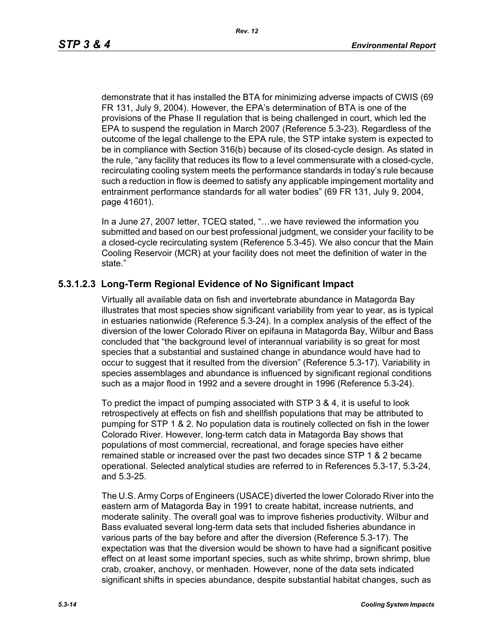demonstrate that it has installed the BTA for minimizing adverse impacts of CWIS (69 FR 131, July 9, 2004). However, the EPA's determination of BTA is one of the provisions of the Phase II regulation that is being challenged in court, which led the EPA to suspend the regulation in March 2007 (Reference 5.3-23). Regardless of the outcome of the legal challenge to the EPA rule, the STP intake system is expected to be in compliance with Section 316(b) because of its closed-cycle design. As stated in the rule, "any facility that reduces its flow to a level commensurate with a closed-cycle, recirculating cooling system meets the performance standards in today's rule because such a reduction in flow is deemed to satisfy any applicable impingement mortality and entrainment performance standards for all water bodies" (69 FR 131, July 9, 2004, page 41601).

In a June 27, 2007 letter, TCEQ stated, "…we have reviewed the information you submitted and based on our best professional judgment, we consider your facility to be a closed-cycle recirculating system (Reference 5.3-45). We also concur that the Main Cooling Reservoir (MCR) at your facility does not meet the definition of water in the state."

## **5.3.1.2.3 Long-Term Regional Evidence of No Significant Impact**

Virtually all available data on fish and invertebrate abundance in Matagorda Bay illustrates that most species show significant variability from year to year, as is typical in estuaries nationwide (Reference 5.3-24). In a complex analysis of the effect of the diversion of the lower Colorado River on epifauna in Matagorda Bay, Wilbur and Bass concluded that "the background level of interannual variability is so great for most species that a substantial and sustained change in abundance would have had to occur to suggest that it resulted from the diversion" (Reference 5.3-17). Variability in species assemblages and abundance is influenced by significant regional conditions such as a major flood in 1992 and a severe drought in 1996 (Reference 5.3-24).

To predict the impact of pumping associated with STP 3 & 4, it is useful to look retrospectively at effects on fish and shellfish populations that may be attributed to pumping for STP 1 & 2. No population data is routinely collected on fish in the lower Colorado River. However, long-term catch data in Matagorda Bay shows that populations of most commercial, recreational, and forage species have either remained stable or increased over the past two decades since STP 1 & 2 became operational. Selected analytical studies are referred to in References 5.3-17, 5.3-24, and 5.3-25.

The U.S. Army Corps of Engineers (USACE) diverted the lower Colorado River into the eastern arm of Matagorda Bay in 1991 to create habitat, increase nutrients, and moderate salinity. The overall goal was to improve fisheries productivity. Wilbur and Bass evaluated several long-term data sets that included fisheries abundance in various parts of the bay before and after the diversion (Reference 5.3-17). The expectation was that the diversion would be shown to have had a significant positive effect on at least some important species, such as white shrimp, brown shrimp, blue crab, croaker, anchovy, or menhaden. However, none of the data sets indicated significant shifts in species abundance, despite substantial habitat changes, such as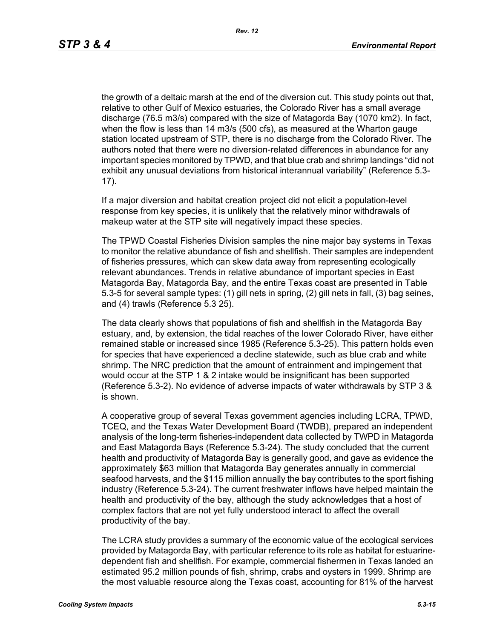the growth of a deltaic marsh at the end of the diversion cut. This study points out that, relative to other Gulf of Mexico estuaries, the Colorado River has a small average discharge (76.5 m3/s) compared with the size of Matagorda Bay (1070 km2). In fact, when the flow is less than 14 m3/s (500 cfs), as measured at the Wharton gauge station located upstream of STP, there is no discharge from the Colorado River. The authors noted that there were no diversion-related differences in abundance for any important species monitored by TPWD, and that blue crab and shrimp landings "did not exhibit any unusual deviations from historical interannual variability" (Reference 5.3- 17).

If a major diversion and habitat creation project did not elicit a population-level response from key species, it is unlikely that the relatively minor withdrawals of makeup water at the STP site will negatively impact these species.

The TPWD Coastal Fisheries Division samples the nine major bay systems in Texas to monitor the relative abundance of fish and shellfish. Their samples are independent of fisheries pressures, which can skew data away from representing ecologically relevant abundances. Trends in relative abundance of important species in East Matagorda Bay, Matagorda Bay, and the entire Texas coast are presented in Table 5.3-5 for several sample types: (1) gill nets in spring, (2) gill nets in fall, (3) bag seines, and (4) trawls (Reference 5.3 25).

The data clearly shows that populations of fish and shellfish in the Matagorda Bay estuary, and, by extension, the tidal reaches of the lower Colorado River, have either remained stable or increased since 1985 (Reference 5.3-25). This pattern holds even for species that have experienced a decline statewide, such as blue crab and white shrimp. The NRC prediction that the amount of entrainment and impingement that would occur at the STP 1 & 2 intake would be insignificant has been supported (Reference 5.3-2). No evidence of adverse impacts of water withdrawals by STP 3 & is shown.

A cooperative group of several Texas government agencies including LCRA, TPWD, TCEQ, and the Texas Water Development Board (TWDB), prepared an independent analysis of the long-term fisheries-independent data collected by TWPD in Matagorda and East Matagorda Bays (Reference 5.3-24). The study concluded that the current health and productivity of Matagorda Bay is generally good, and gave as evidence the approximately \$63 million that Matagorda Bay generates annually in commercial seafood harvests, and the \$115 million annually the bay contributes to the sport fishing industry (Reference 5.3-24). The current freshwater inflows have helped maintain the health and productivity of the bay, although the study acknowledges that a host of complex factors that are not yet fully understood interact to affect the overall productivity of the bay.

The LCRA study provides a summary of the economic value of the ecological services provided by Matagorda Bay, with particular reference to its role as habitat for estuarinedependent fish and shellfish. For example, commercial fishermen in Texas landed an estimated 95.2 million pounds of fish, shrimp, crabs and oysters in 1999. Shrimp are the most valuable resource along the Texas coast, accounting for 81% of the harvest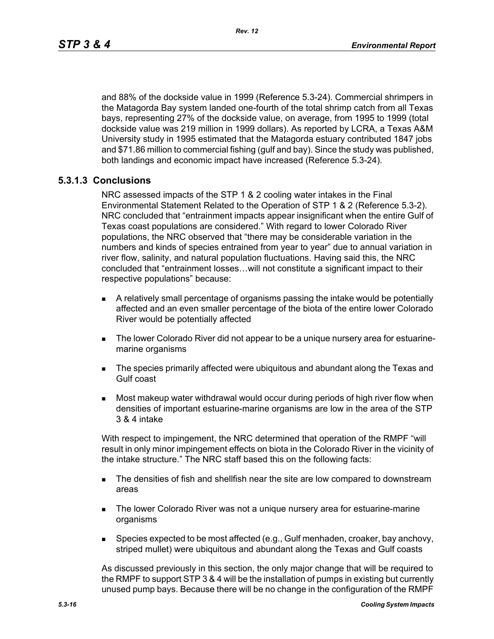and 88% of the dockside value in 1999 (Reference 5.3-24). Commercial shrimpers in the Matagorda Bay system landed one-fourth of the total shrimp catch from all Texas bays, representing 27% of the dockside value, on average, from 1995 to 1999 (total dockside value was 219 million in 1999 dollars). As reported by LCRA, a Texas A&M University study in 1995 estimated that the Matagorda estuary contributed 1847 jobs and \$71.86 million to commercial fishing (gulf and bay). Since the study was published, both landings and economic impact have increased (Reference 5.3-24).

### **5.3.1.3 Conclusions**

NRC assessed impacts of the STP 1 & 2 cooling water intakes in the Final Environmental Statement Related to the Operation of STP 1 & 2 (Reference 5.3-2). NRC concluded that "entrainment impacts appear insignificant when the entire Gulf of Texas coast populations are considered." With regard to lower Colorado River populations, the NRC observed that "there may be considerable variation in the numbers and kinds of species entrained from year to year" due to annual variation in river flow, salinity, and natural population fluctuations. Having said this, the NRC concluded that "entrainment losses…will not constitute a significant impact to their respective populations" because:

- A relatively small percentage of organisms passing the intake would be potentially affected and an even smaller percentage of the biota of the entire lower Colorado River would be potentially affected
- The lower Colorado River did not appear to be a unique nursery area for estuarinemarine organisms
- **The species primarily affected were ubiquitous and abundant along the Texas and** Gulf coast
- Most makeup water withdrawal would occur during periods of high river flow when densities of important estuarine-marine organisms are low in the area of the STP 3 & 4 intake

With respect to impingement, the NRC determined that operation of the RMPF "will result in only minor impingement effects on biota in the Colorado River in the vicinity of the intake structure." The NRC staff based this on the following facts:

- **The densities of fish and shellfish near the site are low compared to downstream** areas
- **The lower Colorado River was not a unique nursery area for estuarine-marine** organisms
- **Species expected to be most affected (e.g., Gulf menhaden, croaker, bay anchovy,** striped mullet) were ubiquitous and abundant along the Texas and Gulf coasts

As discussed previously in this section, the only major change that will be required to the RMPF to support STP 3 & 4 will be the installation of pumps in existing but currently unused pump bays. Because there will be no change in the configuration of the RMPF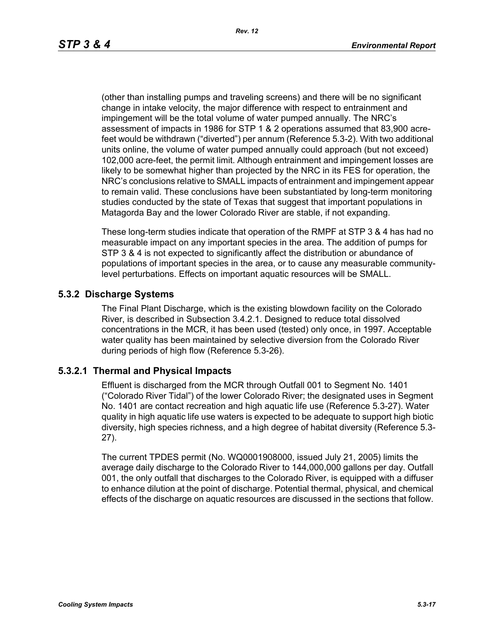(other than installing pumps and traveling screens) and there will be no significant change in intake velocity, the major difference with respect to entrainment and impingement will be the total volume of water pumped annually. The NRC's assessment of impacts in 1986 for STP 1 & 2 operations assumed that 83,900 acrefeet would be withdrawn ("diverted") per annum (Reference 5.3-2). With two additional units online, the volume of water pumped annually could approach (but not exceed) 102,000 acre-feet, the permit limit. Although entrainment and impingement losses are likely to be somewhat higher than projected by the NRC in its FES for operation, the NRC's conclusions relative to SMALL impacts of entrainment and impingement appear to remain valid. These conclusions have been substantiated by long-term monitoring studies conducted by the state of Texas that suggest that important populations in Matagorda Bay and the lower Colorado River are stable, if not expanding.

These long-term studies indicate that operation of the RMPF at STP 3 & 4 has had no measurable impact on any important species in the area. The addition of pumps for STP 3 & 4 is not expected to significantly affect the distribution or abundance of populations of important species in the area, or to cause any measurable communitylevel perturbations. Effects on important aquatic resources will be SMALL.

## **5.3.2 Discharge Systems**

The Final Plant Discharge, which is the existing blowdown facility on the Colorado River, is described in Subsection 3.4.2.1. Designed to reduce total dissolved concentrations in the MCR, it has been used (tested) only once, in 1997. Acceptable water quality has been maintained by selective diversion from the Colorado River during periods of high flow (Reference 5.3-26).

### **5.3.2.1 Thermal and Physical Impacts**

Effluent is discharged from the MCR through Outfall 001 to Segment No. 1401 ("Colorado River Tidal") of the lower Colorado River; the designated uses in Segment No. 1401 are contact recreation and high aquatic life use (Reference 5.3-27). Water quality in high aquatic life use waters is expected to be adequate to support high biotic diversity, high species richness, and a high degree of habitat diversity (Reference 5.3- 27).

The current TPDES permit (No. WQ0001908000, issued July 21, 2005) limits the average daily discharge to the Colorado River to 144,000,000 gallons per day. Outfall 001, the only outfall that discharges to the Colorado River, is equipped with a diffuser to enhance dilution at the point of discharge. Potential thermal, physical, and chemical effects of the discharge on aquatic resources are discussed in the sections that follow.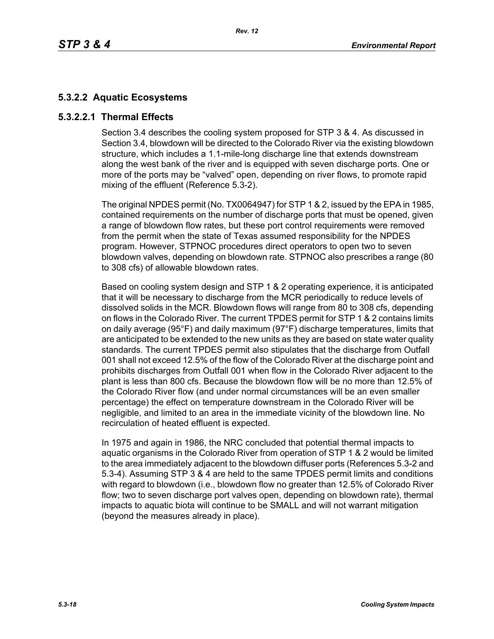# **5.3.2.2 Aquatic Ecosystems**

# **5.3.2.2.1 Thermal Effects**

Section 3.4 describes the cooling system proposed for STP 3 & 4. As discussed in Section 3.4, blowdown will be directed to the Colorado River via the existing blowdown structure, which includes a 1.1-mile-long discharge line that extends downstream along the west bank of the river and is equipped with seven discharge ports. One or more of the ports may be "valved" open, depending on river flows, to promote rapid mixing of the effluent (Reference 5.3-2).

The original NPDES permit (No. TX0064947) for STP 1 & 2, issued by the EPA in 1985, contained requirements on the number of discharge ports that must be opened, given a range of blowdown flow rates, but these port control requirements were removed from the permit when the state of Texas assumed responsibility for the NPDES program. However, STPNOC procedures direct operators to open two to seven blowdown valves, depending on blowdown rate. STPNOC also prescribes a range (80 to 308 cfs) of allowable blowdown rates.

Based on cooling system design and STP 1 & 2 operating experience, it is anticipated that it will be necessary to discharge from the MCR periodically to reduce levels of dissolved solids in the MCR. Blowdown flows will range from 80 to 308 cfs, depending on flows in the Colorado River. The current TPDES permit for STP 1 & 2 contains limits on daily average (95°F) and daily maximum (97°F) discharge temperatures, limits that are anticipated to be extended to the new units as they are based on state water quality standards. The current TPDES permit also stipulates that the discharge from Outfall 001 shall not exceed 12.5% of the flow of the Colorado River at the discharge point and prohibits discharges from Outfall 001 when flow in the Colorado River adjacent to the plant is less than 800 cfs. Because the blowdown flow will be no more than 12.5% of the Colorado River flow (and under normal circumstances will be an even smaller percentage) the effect on temperature downstream in the Colorado River will be negligible, and limited to an area in the immediate vicinity of the blowdown line. No recirculation of heated effluent is expected.

In 1975 and again in 1986, the NRC concluded that potential thermal impacts to aquatic organisms in the Colorado River from operation of STP 1 & 2 would be limited to the area immediately adjacent to the blowdown diffuser ports (References 5.3-2 and 5.3-4). Assuming STP 3 & 4 are held to the same TPDES permit limits and conditions with regard to blowdown (i.e., blowdown flow no greater than 12.5% of Colorado River flow; two to seven discharge port valves open, depending on blowdown rate), thermal impacts to aquatic biota will continue to be SMALL and will not warrant mitigation (beyond the measures already in place).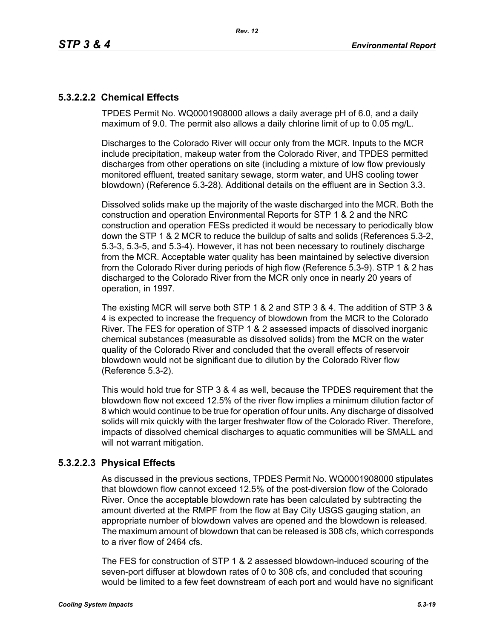# **5.3.2.2.2 Chemical Effects**

TPDES Permit No. WQ0001908000 allows a daily average pH of 6.0, and a daily maximum of 9.0. The permit also allows a daily chlorine limit of up to 0.05 mg/L.

Discharges to the Colorado River will occur only from the MCR. Inputs to the MCR include precipitation, makeup water from the Colorado River, and TPDES permitted discharges from other operations on site (including a mixture of low flow previously monitored effluent, treated sanitary sewage, storm water, and UHS cooling tower blowdown) (Reference 5.3-28). Additional details on the effluent are in Section 3.3.

Dissolved solids make up the majority of the waste discharged into the MCR. Both the construction and operation Environmental Reports for STP 1 & 2 and the NRC construction and operation FESs predicted it would be necessary to periodically blow down the STP 1 & 2 MCR to reduce the buildup of salts and solids (References 5.3-2, 5.3-3, 5.3-5, and 5.3-4). However, it has not been necessary to routinely discharge from the MCR. Acceptable water quality has been maintained by selective diversion from the Colorado River during periods of high flow (Reference 5.3-9). STP 1 & 2 has discharged to the Colorado River from the MCR only once in nearly 20 years of operation, in 1997.

The existing MCR will serve both STP 1 & 2 and STP 3 & 4. The addition of STP 3 & 4 is expected to increase the frequency of blowdown from the MCR to the Colorado River. The FES for operation of STP 1 & 2 assessed impacts of dissolved inorganic chemical substances (measurable as dissolved solids) from the MCR on the water quality of the Colorado River and concluded that the overall effects of reservoir blowdown would not be significant due to dilution by the Colorado River flow (Reference 5.3-2).

This would hold true for STP 3 & 4 as well, because the TPDES requirement that the blowdown flow not exceed 12.5% of the river flow implies a minimum dilution factor of 8 which would continue to be true for operation of four units. Any discharge of dissolved solids will mix quickly with the larger freshwater flow of the Colorado River. Therefore, impacts of dissolved chemical discharges to aquatic communities will be SMALL and will not warrant mitigation.

# **5.3.2.2.3 Physical Effects**

As discussed in the previous sections, TPDES Permit No. WQ0001908000 stipulates that blowdown flow cannot exceed 12.5% of the post-diversion flow of the Colorado River. Once the acceptable blowdown rate has been calculated by subtracting the amount diverted at the RMPF from the flow at Bay City USGS gauging station, an appropriate number of blowdown valves are opened and the blowdown is released. The maximum amount of blowdown that can be released is 308 cfs, which corresponds to a river flow of 2464 cfs.

The FES for construction of STP 1 & 2 assessed blowdown-induced scouring of the seven-port diffuser at blowdown rates of 0 to 308 cfs, and concluded that scouring would be limited to a few feet downstream of each port and would have no significant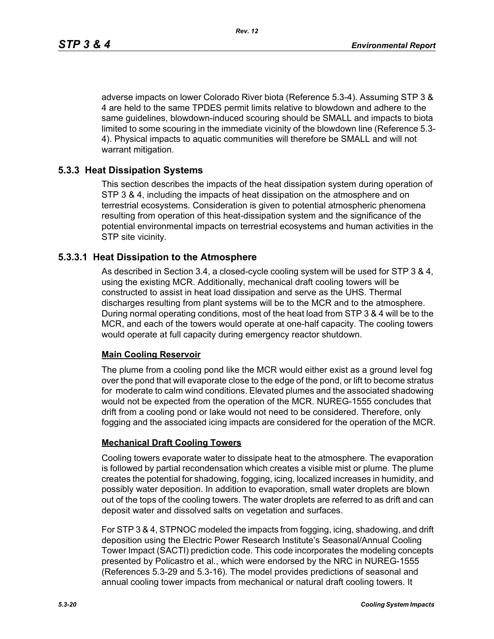adverse impacts on lower Colorado River biota (Reference 5.3-4). Assuming STP 3 & 4 are held to the same TPDES permit limits relative to blowdown and adhere to the same guidelines, blowdown-induced scouring should be SMALL and impacts to biota limited to some scouring in the immediate vicinity of the blowdown line (Reference 5.3- 4). Physical impacts to aquatic communities will therefore be SMALL and will not warrant mitigation.

## **5.3.3 Heat Dissipation Systems**

This section describes the impacts of the heat dissipation system during operation of STP 3 & 4, including the impacts of heat dissipation on the atmosphere and on terrestrial ecosystems. Consideration is given to potential atmospheric phenomena resulting from operation of this heat-dissipation system and the significance of the potential environmental impacts on terrestrial ecosystems and human activities in the STP site vicinity.

### **5.3.3.1 Heat Dissipation to the Atmosphere**

As described in Section 3.4, a closed-cycle cooling system will be used for STP 3 & 4, using the existing MCR. Additionally, mechanical draft cooling towers will be constructed to assist in heat load dissipation and serve as the UHS. Thermal discharges resulting from plant systems will be to the MCR and to the atmosphere. During normal operating conditions, most of the heat load from STP 3 & 4 will be to the MCR, and each of the towers would operate at one-half capacity. The cooling towers would operate at full capacity during emergency reactor shutdown.

### **Main Cooling Reservoir**

The plume from a cooling pond like the MCR would either exist as a ground level fog over the pond that will evaporate close to the edge of the pond, or lift to become stratus for moderate to calm wind conditions. Elevated plumes and the associated shadowing would not be expected from the operation of the MCR. NUREG-1555 concludes that drift from a cooling pond or lake would not need to be considered. Therefore, only fogging and the associated icing impacts are considered for the operation of the MCR.

### **Mechanical Draft Cooling Towers**

Cooling towers evaporate water to dissipate heat to the atmosphere. The evaporation is followed by partial recondensation which creates a visible mist or plume. The plume creates the potential for shadowing, fogging, icing, localized increases in humidity, and possibly water deposition. In addition to evaporation, small water droplets are blown out of the tops of the cooling towers. The water droplets are referred to as drift and can deposit water and dissolved salts on vegetation and surfaces.

For STP 3 & 4, STPNOC modeled the impacts from fogging, icing, shadowing, and drift deposition using the Electric Power Research Institute's Seasonal/Annual Cooling Tower Impact (SACTI) prediction code. This code incorporates the modeling concepts presented by Policastro et al., which were endorsed by the NRC in NUREG-1555 (References 5.3-29 and 5.3-16). The model provides predictions of seasonal and annual cooling tower impacts from mechanical or natural draft cooling towers. It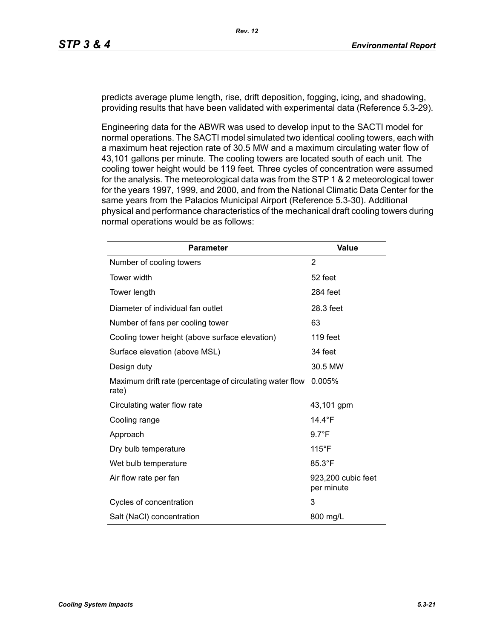predicts average plume length, rise, drift deposition, fogging, icing, and shadowing, providing results that have been validated with experimental data (Reference 5.3-29).

Engineering data for the ABWR was used to develop input to the SACTI model for normal operations. The SACTI model simulated two identical cooling towers, each with a maximum heat rejection rate of 30.5 MW and a maximum circulating water flow of 43,101 gallons per minute. The cooling towers are located south of each unit. The cooling tower height would be 119 feet. Three cycles of concentration were assumed for the analysis. The meteorological data was from the STP 1 & 2 meteorological tower for the years 1997, 1999, and 2000, and from the National Climatic Data Center for the same years from the Palacios Municipal Airport (Reference 5.3-30). Additional physical and performance characteristics of the mechanical draft cooling towers during normal operations would be as follows:

| <b>Parameter</b>                                                  | <b>Value</b>                     |
|-------------------------------------------------------------------|----------------------------------|
| Number of cooling towers                                          | 2                                |
| Tower width                                                       | 52 feet                          |
| Tower length                                                      | 284 feet                         |
| Diameter of individual fan outlet                                 | 28.3 feet                        |
| Number of fans per cooling tower                                  | 63                               |
| Cooling tower height (above surface elevation)                    | 119 feet                         |
| Surface elevation (above MSL)                                     | 34 feet                          |
| Design duty                                                       | 30.5 MW                          |
| Maximum drift rate (percentage of circulating water flow<br>rate) | 0.005%                           |
| Circulating water flow rate                                       | 43,101 gpm                       |
| Cooling range                                                     | 14.4 $\degree$ F                 |
| Approach                                                          | $9.7^{\circ}F$                   |
| Dry bulb temperature                                              | $115^{\circ}$ F                  |
| Wet bulb temperature                                              | 85.3°F                           |
| Air flow rate per fan                                             | 923,200 cubic feet<br>per minute |
| Cycles of concentration                                           | 3                                |
| Salt (NaCl) concentration                                         | 800 mg/L                         |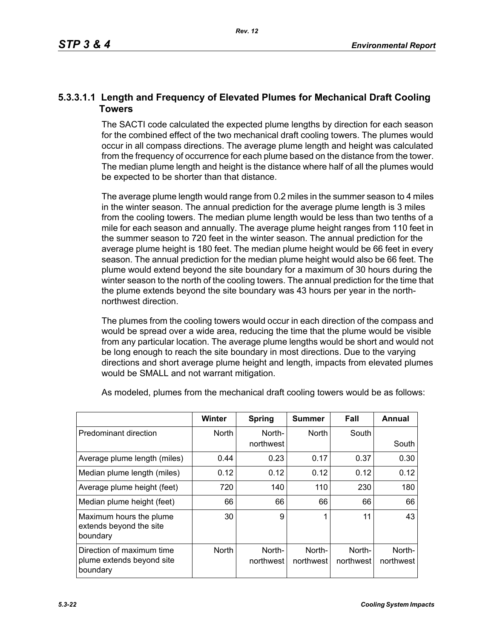# **5.3.3.1.1 Length and Frequency of Elevated Plumes for Mechanical Draft Cooling Towers**

The SACTI code calculated the expected plume lengths by direction for each season for the combined effect of the two mechanical draft cooling towers. The plumes would occur in all compass directions. The average plume length and height was calculated from the frequency of occurrence for each plume based on the distance from the tower. The median plume length and height is the distance where half of all the plumes would be expected to be shorter than that distance.

The average plume length would range from 0.2 miles in the summer season to 4 miles in the winter season. The annual prediction for the average plume length is 3 miles from the cooling towers. The median plume length would be less than two tenths of a mile for each season and annually. The average plume height ranges from 110 feet in the summer season to 720 feet in the winter season. The annual prediction for the average plume height is 180 feet. The median plume height would be 66 feet in every season. The annual prediction for the median plume height would also be 66 feet. The plume would extend beyond the site boundary for a maximum of 30 hours during the winter season to the north of the cooling towers. The annual prediction for the time that the plume extends beyond the site boundary was 43 hours per year in the northnorthwest direction.

The plumes from the cooling towers would occur in each direction of the compass and would be spread over a wide area, reducing the time that the plume would be visible from any particular location. The average plume lengths would be short and would not be long enough to reach the site boundary in most directions. Due to the varying directions and short average plume height and length, impacts from elevated plumes would be SMALL and not warrant mitigation.

|                                                                    | <b>Winter</b> | Spring              | <b>Summer</b>       | Fall                | Annual              |
|--------------------------------------------------------------------|---------------|---------------------|---------------------|---------------------|---------------------|
| Predominant direction                                              | <b>North</b>  | North-<br>northwest | <b>North</b>        | South               | South               |
| Average plume length (miles)                                       | 0.44          | 0.23                | 0.17                | 0.37                | 0.30                |
| Median plume length (miles)                                        | 0.12          | 0.12                | 0.12                | 0.12                | 0.12                |
| Average plume height (feet)                                        | 720           | 140                 | 110                 | 230                 | 180                 |
| Median plume height (feet)                                         | 66            | 66                  | 66                  | 66                  | 66                  |
| Maximum hours the plume<br>extends beyond the site<br>boundary     | 30            | 9                   | ◢                   | 11                  | 43                  |
| Direction of maximum time<br>plume extends beyond site<br>boundary | <b>North</b>  | North-<br>northwest | North-<br>northwest | North-<br>northwest | North-<br>northwest |

As modeled, plumes from the mechanical draft cooling towers would be as follows: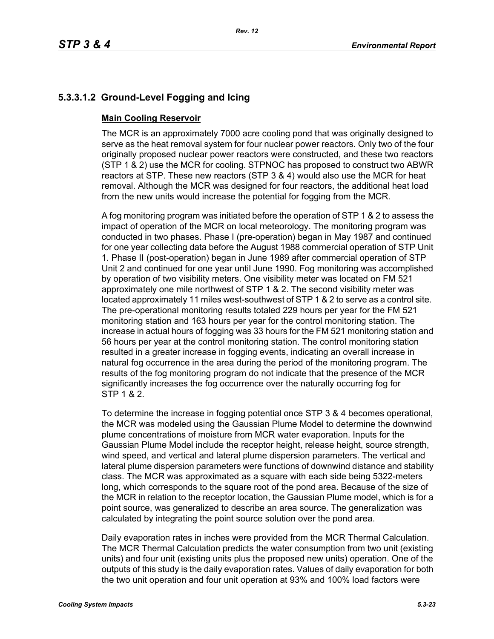# **5.3.3.1.2 Ground-Level Fogging and Icing**

## **Main Cooling Reservoir**

The MCR is an approximately 7000 acre cooling pond that was originally designed to serve as the heat removal system for four nuclear power reactors. Only two of the four originally proposed nuclear power reactors were constructed, and these two reactors (STP 1 & 2) use the MCR for cooling. STPNOC has proposed to construct two ABWR reactors at STP. These new reactors (STP 3 & 4) would also use the MCR for heat removal. Although the MCR was designed for four reactors, the additional heat load from the new units would increase the potential for fogging from the MCR.

A fog monitoring program was initiated before the operation of STP 1 & 2 to assess the impact of operation of the MCR on local meteorology. The monitoring program was conducted in two phases. Phase I (pre-operation) began in May 1987 and continued for one year collecting data before the August 1988 commercial operation of STP Unit 1. Phase II (post-operation) began in June 1989 after commercial operation of STP Unit 2 and continued for one year until June 1990. Fog monitoring was accomplished by operation of two visibility meters. One visibility meter was located on FM 521 approximately one mile northwest of STP 1 & 2. The second visibility meter was located approximately 11 miles west-southwest of STP 1 & 2 to serve as a control site. The pre-operational monitoring results totaled 229 hours per year for the FM 521 monitoring station and 163 hours per year for the control monitoring station. The increase in actual hours of fogging was 33 hours for the FM 521 monitoring station and 56 hours per year at the control monitoring station. The control monitoring station resulted in a greater increase in fogging events, indicating an overall increase in natural fog occurrence in the area during the period of the monitoring program. The results of the fog monitoring program do not indicate that the presence of the MCR significantly increases the fog occurrence over the naturally occurring fog for STP 1 & 2.

To determine the increase in fogging potential once STP 3 & 4 becomes operational, the MCR was modeled using the Gaussian Plume Model to determine the downwind plume concentrations of moisture from MCR water evaporation. Inputs for the Gaussian Plume Model include the receptor height, release height, source strength, wind speed, and vertical and lateral plume dispersion parameters. The vertical and lateral plume dispersion parameters were functions of downwind distance and stability class. The MCR was approximated as a square with each side being 5322-meters long, which corresponds to the square root of the pond area. Because of the size of the MCR in relation to the receptor location, the Gaussian Plume model, which is for a point source, was generalized to describe an area source. The generalization was calculated by integrating the point source solution over the pond area.

Daily evaporation rates in inches were provided from the MCR Thermal Calculation. The MCR Thermal Calculation predicts the water consumption from two unit (existing units) and four unit (existing units plus the proposed new units) operation. One of the outputs of this study is the daily evaporation rates. Values of daily evaporation for both the two unit operation and four unit operation at 93% and 100% load factors were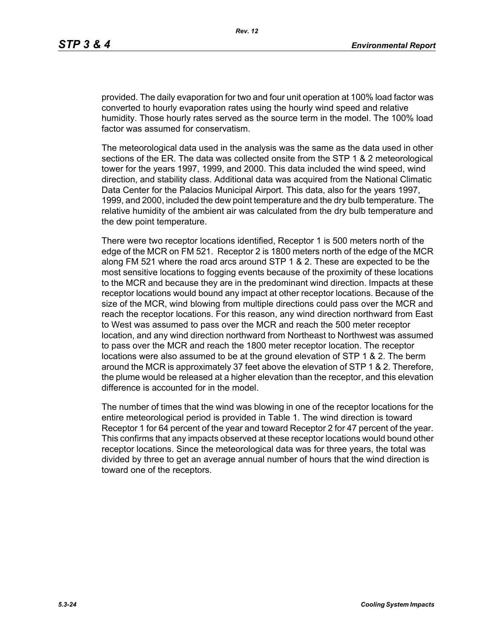provided. The daily evaporation for two and four unit operation at 100% load factor was converted to hourly evaporation rates using the hourly wind speed and relative humidity. Those hourly rates served as the source term in the model. The 100% load factor was assumed for conservatism.

The meteorological data used in the analysis was the same as the data used in other sections of the ER. The data was collected onsite from the STP 1 & 2 meteorological tower for the years 1997, 1999, and 2000. This data included the wind speed, wind direction, and stability class. Additional data was acquired from the National Climatic Data Center for the Palacios Municipal Airport. This data, also for the years 1997, 1999, and 2000, included the dew point temperature and the dry bulb temperature. The relative humidity of the ambient air was calculated from the dry bulb temperature and the dew point temperature.

There were two receptor locations identified, Receptor 1 is 500 meters north of the edge of the MCR on FM 521. Receptor 2 is 1800 meters north of the edge of the MCR along FM 521 where the road arcs around STP 1 & 2. These are expected to be the most sensitive locations to fogging events because of the proximity of these locations to the MCR and because they are in the predominant wind direction. Impacts at these receptor locations would bound any impact at other receptor locations. Because of the size of the MCR, wind blowing from multiple directions could pass over the MCR and reach the receptor locations. For this reason, any wind direction northward from East to West was assumed to pass over the MCR and reach the 500 meter receptor location, and any wind direction northward from Northeast to Northwest was assumed to pass over the MCR and reach the 1800 meter receptor location. The receptor locations were also assumed to be at the ground elevation of STP 1 & 2. The berm around the MCR is approximately 37 feet above the elevation of STP 1 & 2. Therefore, the plume would be released at a higher elevation than the receptor, and this elevation difference is accounted for in the model.

The number of times that the wind was blowing in one of the receptor locations for the entire meteorological period is provided in Table 1. The wind direction is toward Receptor 1 for 64 percent of the year and toward Receptor 2 for 47 percent of the year. This confirms that any impacts observed at these receptor locations would bound other receptor locations. Since the meteorological data was for three years, the total was divided by three to get an average annual number of hours that the wind direction is toward one of the receptors.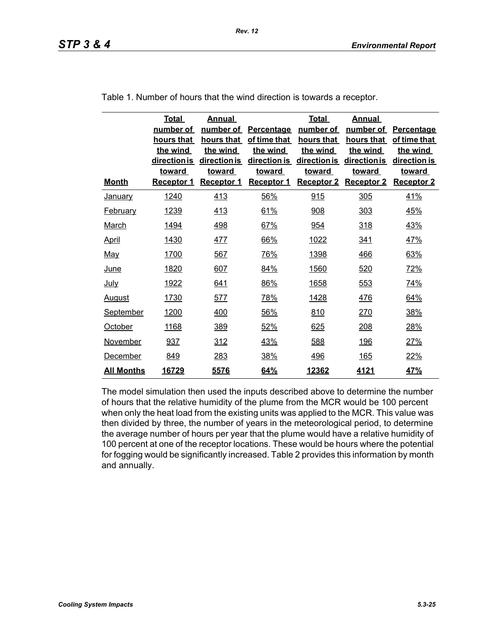|                   | <b>Total</b><br>number of<br>hours that<br>the wind<br>direction is<br><b>toward</b> | Annual<br>number of<br>hours that<br>the wind<br>direction is<br><b>toward</b> | <b>Percentage</b><br>of time that<br>the wind<br>direction is<br><b>toward</b> | <b>Total</b><br>number of<br>hours that<br>the wind<br>direction is<br><b>toward</b> | Annual<br>number of<br>hours that<br>the wind<br>direction is<br><b>toward</b> | Percentage<br>of time that<br>the wind<br>direction is<br><b>toward</b> |
|-------------------|--------------------------------------------------------------------------------------|--------------------------------------------------------------------------------|--------------------------------------------------------------------------------|--------------------------------------------------------------------------------------|--------------------------------------------------------------------------------|-------------------------------------------------------------------------|
| <b>Month</b>      | Receptor 1                                                                           | <b>Receptor 1</b>                                                              | <b>Receptor 1</b>                                                              | <b>Receptor 2</b>                                                                    | <b>Receptor 2</b>                                                              | <b>Receptor 2</b>                                                       |
| <b>January</b>    | 1240                                                                                 | 413                                                                            | 56%                                                                            | 915                                                                                  | 305                                                                            | 41%                                                                     |
| <b>February</b>   | 1239                                                                                 | 413                                                                            | 61%                                                                            | 908                                                                                  | 303                                                                            | 45%                                                                     |
| March             | 1494                                                                                 | 498                                                                            | 67%                                                                            | 954                                                                                  | 318                                                                            | 43%                                                                     |
| <u>April</u>      | 1430                                                                                 | 477                                                                            | 66%                                                                            | 1022                                                                                 | 341                                                                            | 47%                                                                     |
| <b>May</b>        | 1700                                                                                 | 567                                                                            | <u>76%</u>                                                                     | 1398                                                                                 | 466                                                                            | 63%                                                                     |
| <u>June</u>       | 1820                                                                                 | 607                                                                            | 84%                                                                            | 1560                                                                                 | 520                                                                            | 72%                                                                     |
| <u>July</u>       | 1922                                                                                 | 641                                                                            | 86%                                                                            | 1658                                                                                 | 553                                                                            | 74%                                                                     |
| <b>August</b>     | 1730                                                                                 | 577                                                                            | 78%                                                                            | 1428                                                                                 | 476                                                                            | 64%                                                                     |
| <b>September</b>  | 1200                                                                                 | 400                                                                            | 56%                                                                            | 810                                                                                  | 270                                                                            | 38%                                                                     |
| October           | 1168                                                                                 | 389                                                                            | 52%                                                                            | 625                                                                                  | 208                                                                            | 28%                                                                     |
| <b>November</b>   | 937                                                                                  | <u>312</u>                                                                     | 43%                                                                            | 588                                                                                  | <u> 196</u>                                                                    | 27%                                                                     |
| December          | 849                                                                                  | 283                                                                            | 38%                                                                            | 496                                                                                  | 165                                                                            | 22%                                                                     |
| <b>All Months</b> | 16729                                                                                | 5576                                                                           | 64%                                                                            | 12362                                                                                | 4121                                                                           | 47%                                                                     |

Table 1. Number of hours that the wind direction is towards a receptor.

The model simulation then used the inputs described above to determine the number of hours that the relative humidity of the plume from the MCR would be 100 percent when only the heat load from the existing units was applied to the MCR. This value was then divided by three, the number of years in the meteorological period, to determine the average number of hours per year that the plume would have a relative humidity of 100 percent at one of the receptor locations. These would be hours where the potential for fogging would be significantly increased. Table 2 provides this information by month and annually.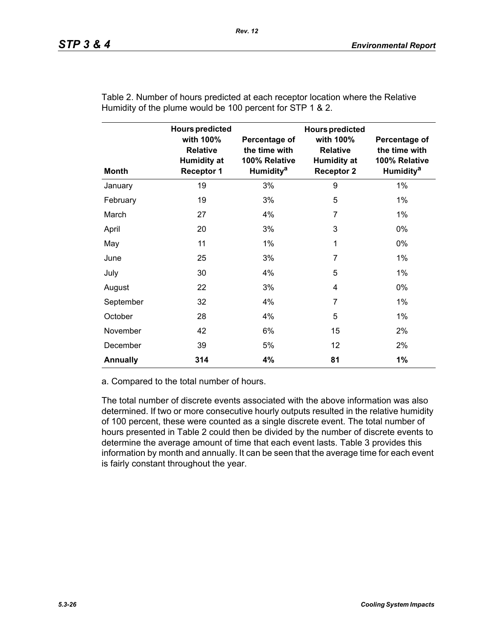| <b>Month</b>    | <b>Hours predicted</b><br>with 100%<br><b>Relative</b><br><b>Humidity at</b><br><b>Receptor 1</b> | Percentage of<br>the time with<br>100% Relative<br>Humidity <sup>a</sup> | <b>Hours predicted</b><br>with 100%<br><b>Relative</b><br><b>Humidity at</b><br><b>Receptor 2</b> | Percentage of<br>the time with<br>100% Relative<br><b>Humidity<sup>a</sup></b> |
|-----------------|---------------------------------------------------------------------------------------------------|--------------------------------------------------------------------------|---------------------------------------------------------------------------------------------------|--------------------------------------------------------------------------------|
| January         | 19                                                                                                | 3%                                                                       | 9                                                                                                 | 1%                                                                             |
| February        | 19                                                                                                | 3%                                                                       | 5                                                                                                 | 1%                                                                             |
| March           | 27                                                                                                | 4%                                                                       | 7                                                                                                 | 1%                                                                             |
| April           | 20                                                                                                | 3%                                                                       | 3                                                                                                 | $0\%$                                                                          |
| May             | 11                                                                                                | $1\%$                                                                    | 1                                                                                                 | 0%                                                                             |
| June            | 25                                                                                                | 3%                                                                       | 7                                                                                                 | $1\%$                                                                          |
| July            | 30                                                                                                | 4%                                                                       | 5                                                                                                 | $1\%$                                                                          |
| August          | 22                                                                                                | 3%                                                                       | 4                                                                                                 | 0%                                                                             |
| September       | 32                                                                                                | 4%                                                                       | 7                                                                                                 | 1%                                                                             |
| October         | 28                                                                                                | 4%                                                                       | 5                                                                                                 | $1\%$                                                                          |
| November        | 42                                                                                                | 6%                                                                       | 15                                                                                                | 2%                                                                             |
| December        | 39                                                                                                | 5%                                                                       | 12                                                                                                | 2%                                                                             |
| <b>Annually</b> | 314                                                                                               | 4%                                                                       | 81                                                                                                | 1%                                                                             |

Table 2. Number of hours predicted at each receptor location where the Relative Humidity of the plume would be 100 percent for STP 1 & 2.

a. Compared to the total number of hours.

The total number of discrete events associated with the above information was also determined. If two or more consecutive hourly outputs resulted in the relative humidity of 100 percent, these were counted as a single discrete event. The total number of hours presented in Table 2 could then be divided by the number of discrete events to determine the average amount of time that each event lasts. Table 3 provides this information by month and annually. It can be seen that the average time for each event is fairly constant throughout the year.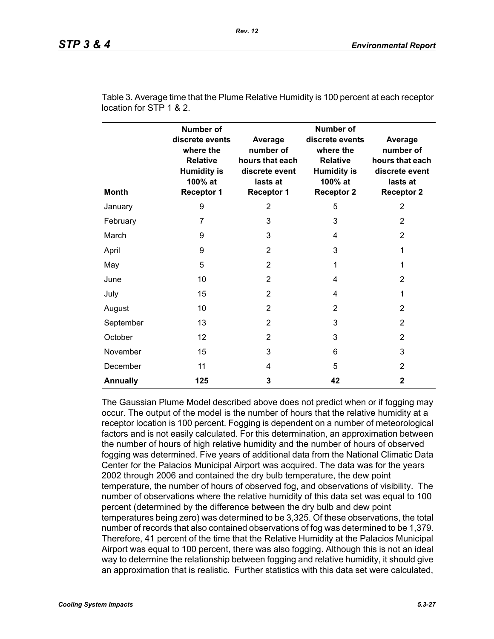| <b>Month</b>    | <b>Number of</b><br>discrete events<br>where the<br><b>Relative</b><br><b>Humidity is</b><br>100% at<br><b>Receptor 1</b> | Average<br>number of<br>hours that each<br>discrete event<br>lasts at<br><b>Receptor 1</b> | <b>Number of</b><br>discrete events<br>where the<br><b>Relative</b><br><b>Humidity is</b><br>100% at<br><b>Receptor 2</b> | Average<br>number of<br>hours that each<br>discrete event<br>lasts at<br><b>Receptor 2</b> |
|-----------------|---------------------------------------------------------------------------------------------------------------------------|--------------------------------------------------------------------------------------------|---------------------------------------------------------------------------------------------------------------------------|--------------------------------------------------------------------------------------------|
| January         | 9                                                                                                                         | $\overline{2}$                                                                             | 5                                                                                                                         | $\overline{2}$                                                                             |
| February        | $\overline{7}$                                                                                                            | 3                                                                                          | 3                                                                                                                         | $\overline{2}$                                                                             |
| March           | 9                                                                                                                         | 3                                                                                          | 4                                                                                                                         | $\overline{2}$                                                                             |
| April           | 9                                                                                                                         | $\overline{2}$                                                                             | 3                                                                                                                         | 1                                                                                          |
| May             | 5                                                                                                                         | $\overline{2}$                                                                             | 1                                                                                                                         | 1                                                                                          |
| June            | 10                                                                                                                        | $\overline{2}$                                                                             | 4                                                                                                                         | $\overline{2}$                                                                             |
| July            | 15                                                                                                                        | 2                                                                                          | 4                                                                                                                         | 1                                                                                          |
| August          | 10                                                                                                                        | 2                                                                                          | $\overline{2}$                                                                                                            | 2                                                                                          |
| September       | 13                                                                                                                        | 2                                                                                          | 3                                                                                                                         | $\overline{2}$                                                                             |
| October         | 12                                                                                                                        | 2                                                                                          | 3                                                                                                                         | 2                                                                                          |
| November        | 15                                                                                                                        | 3                                                                                          | 6                                                                                                                         | 3                                                                                          |
| December        | 11                                                                                                                        | 4                                                                                          | 5                                                                                                                         | 2                                                                                          |
| <b>Annually</b> | 125                                                                                                                       | 3                                                                                          | 42                                                                                                                        | 2                                                                                          |

Table 3. Average time that the Plume Relative Humidity is 100 percent at each receptor location for STP 1 & 2.

The Gaussian Plume Model described above does not predict when or if fogging may occur. The output of the model is the number of hours that the relative humidity at a receptor location is 100 percent. Fogging is dependent on a number of meteorological factors and is not easily calculated. For this determination, an approximation between the number of hours of high relative humidity and the number of hours of observed fogging was determined. Five years of additional data from the National Climatic Data Center for the Palacios Municipal Airport was acquired. The data was for the years 2002 through 2006 and contained the dry bulb temperature, the dew point temperature, the number of hours of observed fog, and observations of visibility. The number of observations where the relative humidity of this data set was equal to 100 percent (determined by the difference between the dry bulb and dew point temperatures being zero) was determined to be 3,325. Of these observations, the total number of records that also contained observations of fog was determined to be 1,379. Therefore, 41 percent of the time that the Relative Humidity at the Palacios Municipal Airport was equal to 100 percent, there was also fogging. Although this is not an ideal way to determine the relationship between fogging and relative humidity, it should give an approximation that is realistic. Further statistics with this data set were calculated,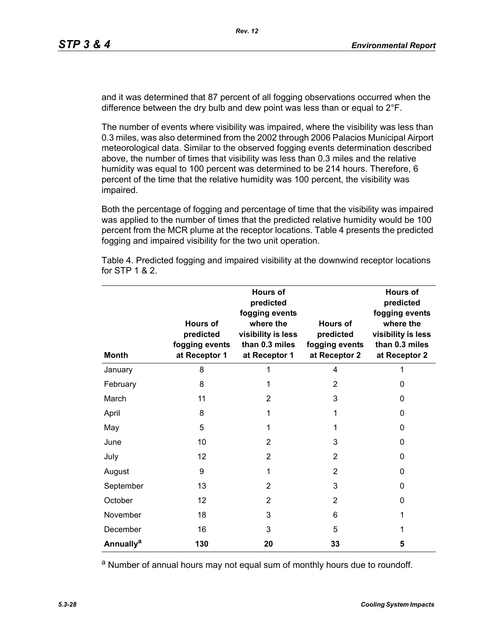and it was determined that 87 percent of all fogging observations occurred when the difference between the dry bulb and dew point was less than or equal to 2°F.

The number of events where visibility was impaired, where the visibility was less than 0.3 miles, was also determined from the 2002 through 2006 Palacios Municipal Airport meteorological data. Similar to the observed fogging events determination described above, the number of times that visibility was less than 0.3 miles and the relative humidity was equal to 100 percent was determined to be 214 hours. Therefore, 6 percent of the time that the relative humidity was 100 percent, the visibility was impaired.

Both the percentage of fogging and percentage of time that the visibility was impaired was applied to the number of times that the predicted relative humidity would be 100 percent from the MCR plume at the receptor locations. Table 4 presents the predicted fogging and impaired visibility for the two unit operation.

| <b>Month</b>                | <b>Hours of</b><br>predicted<br>fogging events<br>at Receptor 1 | <b>Hours of</b><br>predicted<br>fogging events<br>where the<br>visibility is less<br>than 0.3 miles<br>at Receptor 1 | Hours of<br>predicted<br>fogging events<br>at Receptor 2 | <b>Hours of</b><br>predicted<br>fogging events<br>where the<br>visibility is less<br>than 0.3 miles<br>at Receptor 2 |
|-----------------------------|-----------------------------------------------------------------|----------------------------------------------------------------------------------------------------------------------|----------------------------------------------------------|----------------------------------------------------------------------------------------------------------------------|
| January                     | 8                                                               |                                                                                                                      | 4                                                        |                                                                                                                      |
| February                    | 8                                                               | 1                                                                                                                    | $\overline{2}$                                           | 0                                                                                                                    |
| March                       | 11                                                              | $\overline{2}$                                                                                                       | 3                                                        | 0                                                                                                                    |
| April                       | 8                                                               | 1                                                                                                                    | 1                                                        | 0                                                                                                                    |
| May                         | 5                                                               | 1                                                                                                                    | 1                                                        | 0                                                                                                                    |
| June                        | 10                                                              | 2                                                                                                                    | 3                                                        | 0                                                                                                                    |
| July                        | 12                                                              | $\overline{2}$                                                                                                       | 2                                                        | 0                                                                                                                    |
| August                      | 9                                                               | 1                                                                                                                    | $\overline{2}$                                           | 0                                                                                                                    |
| September                   | 13                                                              | 2                                                                                                                    | 3                                                        | 0                                                                                                                    |
| October                     | 12                                                              | $\overline{2}$                                                                                                       | 2                                                        | 0                                                                                                                    |
| November                    | 18                                                              | 3                                                                                                                    | 6                                                        | 1                                                                                                                    |
| December                    | 16                                                              | 3                                                                                                                    | 5                                                        | 1                                                                                                                    |
| <b>Annually<sup>a</sup></b> | 130                                                             | 20                                                                                                                   | 33                                                       | 5                                                                                                                    |

Table 4. Predicted fogging and impaired visibility at the downwind receptor locations for STP 1 & 2.

a Number of annual hours may not equal sum of monthly hours due to roundoff.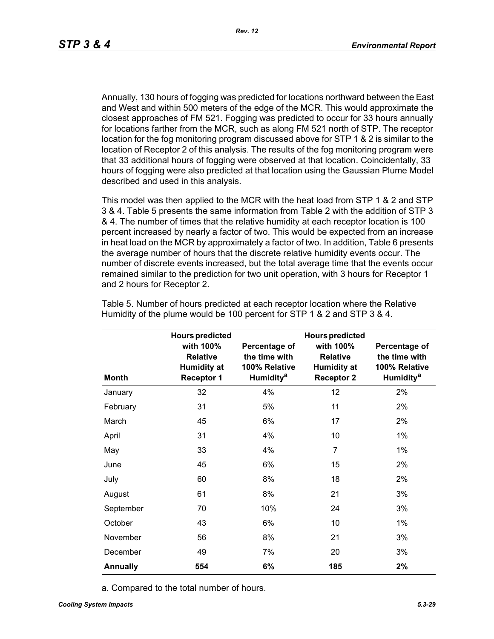Annually, 130 hours of fogging was predicted for locations northward between the East and West and within 500 meters of the edge of the MCR. This would approximate the closest approaches of FM 521. Fogging was predicted to occur for 33 hours annually for locations farther from the MCR, such as along FM 521 north of STP. The receptor location for the fog monitoring program discussed above for STP 1 & 2 is similar to the location of Receptor 2 of this analysis. The results of the fog monitoring program were that 33 additional hours of fogging were observed at that location. Coincidentally, 33 hours of fogging were also predicted at that location using the Gaussian Plume Model described and used in this analysis.

This model was then applied to the MCR with the heat load from STP 1 & 2 and STP 3 & 4. Table 5 presents the same information from Table 2 with the addition of STP 3 & 4. The number of times that the relative humidity at each receptor location is 100 percent increased by nearly a factor of two. This would be expected from an increase in heat load on the MCR by approximately a factor of two. In addition, Table 6 presents the average number of hours that the discrete relative humidity events occur. The number of discrete events increased, but the total average time that the events occur remained similar to the prediction for two unit operation, with 3 hours for Receptor 1 and 2 hours for Receptor 2.

|                 | <b>Hours predicted</b>                                                  |                                                                          | <b>Hours predicted</b>                                                  |                                                                                |
|-----------------|-------------------------------------------------------------------------|--------------------------------------------------------------------------|-------------------------------------------------------------------------|--------------------------------------------------------------------------------|
| <b>Month</b>    | with 100%<br><b>Relative</b><br><b>Humidity at</b><br><b>Receptor 1</b> | Percentage of<br>the time with<br>100% Relative<br>Humidity <sup>a</sup> | with 100%<br><b>Relative</b><br><b>Humidity at</b><br><b>Receptor 2</b> | Percentage of<br>the time with<br>100% Relative<br><b>Humidity<sup>a</sup></b> |
| January         | 32                                                                      | 4%                                                                       | 12                                                                      | 2%                                                                             |
| February        | 31                                                                      | 5%                                                                       | 11                                                                      | 2%                                                                             |
| March           | 45                                                                      | 6%                                                                       | 17                                                                      | 2%                                                                             |
| April           | 31                                                                      | 4%                                                                       | 10                                                                      | $1\%$                                                                          |
| May             | 33                                                                      | 4%                                                                       | $\overline{7}$                                                          | $1\%$                                                                          |
| June            | 45                                                                      | 6%                                                                       | 15                                                                      | 2%                                                                             |
| July            | 60                                                                      | 8%                                                                       | 18                                                                      | 2%                                                                             |
| August          | 61                                                                      | 8%                                                                       | 21                                                                      | 3%                                                                             |
| September       | 70                                                                      | 10%                                                                      | 24                                                                      | 3%                                                                             |
| October         | 43                                                                      | 6%                                                                       | 10                                                                      | $1\%$                                                                          |
| November        | 56                                                                      | 8%                                                                       | 21                                                                      | 3%                                                                             |
| December        | 49                                                                      | 7%                                                                       | 20                                                                      | 3%                                                                             |
| <b>Annually</b> | 554                                                                     | 6%                                                                       | 185                                                                     | 2%                                                                             |

Table 5. Number of hours predicted at each receptor location where the Relative Humidity of the plume would be 100 percent for STP 1 & 2 and STP 3 & 4.

a. Compared to the total number of hours.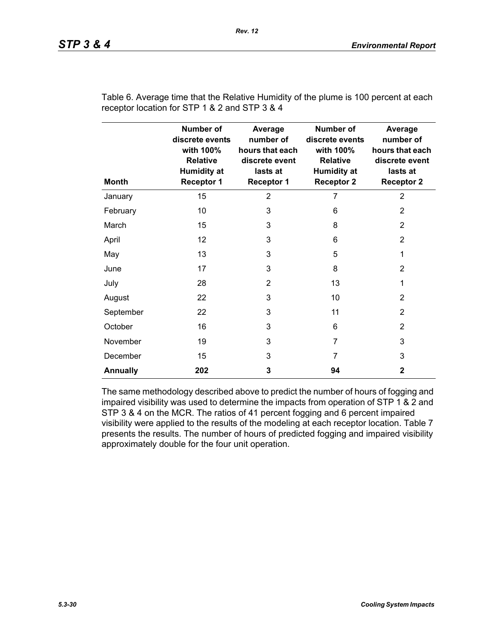| <b>Month</b>    | Number of<br>discrete events<br>with 100%<br><b>Relative</b><br><b>Humidity at</b><br><b>Receptor 1</b> | Average<br>number of<br>hours that each<br>discrete event<br>lasts at<br><b>Receptor 1</b> | <b>Number of</b><br>discrete events<br>with 100%<br><b>Relative</b><br><b>Humidity at</b><br><b>Receptor 2</b> | Average<br>number of<br>hours that each<br>discrete event<br>lasts at<br><b>Receptor 2</b> |
|-----------------|---------------------------------------------------------------------------------------------------------|--------------------------------------------------------------------------------------------|----------------------------------------------------------------------------------------------------------------|--------------------------------------------------------------------------------------------|
| January         | 15                                                                                                      | $\overline{2}$                                                                             | 7                                                                                                              | $\overline{2}$                                                                             |
| February        | 10                                                                                                      | 3                                                                                          | 6                                                                                                              | $\overline{2}$                                                                             |
| March           | 15                                                                                                      | 3                                                                                          | 8                                                                                                              | 2                                                                                          |
| April           | 12                                                                                                      | 3                                                                                          | 6                                                                                                              | $\overline{2}$                                                                             |
| May             | 13                                                                                                      | 3                                                                                          | 5                                                                                                              | 1                                                                                          |
| June            | 17                                                                                                      | 3                                                                                          | 8                                                                                                              | $\overline{2}$                                                                             |
| July            | 28                                                                                                      | $\overline{2}$                                                                             | 13                                                                                                             | 1                                                                                          |
| August          | 22                                                                                                      | 3                                                                                          | 10                                                                                                             | 2                                                                                          |
| September       | 22                                                                                                      | 3                                                                                          | 11                                                                                                             | 2                                                                                          |
| October         | 16                                                                                                      | 3                                                                                          | 6                                                                                                              | 2                                                                                          |
| November        | 19                                                                                                      | 3                                                                                          | 7                                                                                                              | 3                                                                                          |
| December        | 15                                                                                                      | 3                                                                                          | 7                                                                                                              | 3                                                                                          |
| <b>Annually</b> | 202                                                                                                     | 3                                                                                          | 94                                                                                                             | $\mathbf{2}$                                                                               |

Table 6. Average time that the Relative Humidity of the plume is 100 percent at each receptor location for STP 1 & 2 and STP 3 & 4

The same methodology described above to predict the number of hours of fogging and impaired visibility was used to determine the impacts from operation of STP 1 & 2 and STP 3 & 4 on the MCR. The ratios of 41 percent fogging and 6 percent impaired visibility were applied to the results of the modeling at each receptor location. Table 7 presents the results. The number of hours of predicted fogging and impaired visibility approximately double for the four unit operation.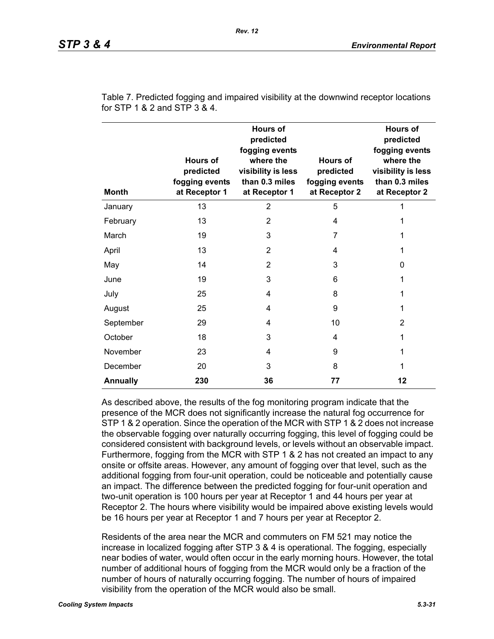| <b>Month</b>    | <b>Hours of</b><br>predicted<br>fogging events<br>at Receptor 1 | <b>Hours of</b><br>predicted<br>fogging events<br>where the<br>visibility is less<br>than 0.3 miles<br>at Receptor 1 | <b>Hours of</b><br>predicted<br>fogging events<br>at Receptor 2 | <b>Hours of</b><br>predicted<br>fogging events<br>where the<br>visibility is less<br>than 0.3 miles<br>at Receptor 2 |
|-----------------|-----------------------------------------------------------------|----------------------------------------------------------------------------------------------------------------------|-----------------------------------------------------------------|----------------------------------------------------------------------------------------------------------------------|
| January         | 13                                                              | $\overline{2}$                                                                                                       | 5                                                               |                                                                                                                      |
| February        | 13                                                              | $\overline{2}$                                                                                                       | 4                                                               |                                                                                                                      |
| March           | 19                                                              | 3                                                                                                                    | 7                                                               | 1                                                                                                                    |
| April           | 13                                                              | $\overline{2}$                                                                                                       | 4                                                               | 1                                                                                                                    |
| May             | 14                                                              | $\overline{2}$                                                                                                       | 3                                                               | $\Omega$                                                                                                             |
| June            | 19                                                              | 3                                                                                                                    | 6                                                               | 1                                                                                                                    |
| July            | 25                                                              | 4                                                                                                                    | 8                                                               | 1                                                                                                                    |
| August          | 25                                                              | 4                                                                                                                    | 9                                                               | 1                                                                                                                    |
| September       | 29                                                              | 4                                                                                                                    | 10                                                              | 2                                                                                                                    |
| October         | 18                                                              | 3                                                                                                                    | 4                                                               | 1                                                                                                                    |
| November        | 23                                                              | 4                                                                                                                    | 9                                                               | 1                                                                                                                    |
| December        | 20                                                              | 3                                                                                                                    | 8                                                               | 1                                                                                                                    |
| <b>Annually</b> | 230                                                             | 36                                                                                                                   | 77                                                              | 12                                                                                                                   |

Table 7. Predicted fogging and impaired visibility at the downwind receptor locations for STP 1 & 2 and STP 3 & 4.

As described above, the results of the fog monitoring program indicate that the presence of the MCR does not significantly increase the natural fog occurrence for STP 1 & 2 operation. Since the operation of the MCR with STP 1 & 2 does not increase the observable fogging over naturally occurring fogging, this level of fogging could be considered consistent with background levels, or levels without an observable impact. Furthermore, fogging from the MCR with STP 1 & 2 has not created an impact to any onsite or offsite areas. However, any amount of fogging over that level, such as the additional fogging from four-unit operation, could be noticeable and potentially cause an impact. The difference between the predicted fogging for four-unit operation and two-unit operation is 100 hours per year at Receptor 1 and 44 hours per year at Receptor 2. The hours where visibility would be impaired above existing levels would be 16 hours per year at Receptor 1 and 7 hours per year at Receptor 2.

Residents of the area near the MCR and commuters on FM 521 may notice the increase in localized fogging after STP 3 & 4 is operational. The fogging, especially near bodies of water, would often occur in the early morning hours. However, the total number of additional hours of fogging from the MCR would only be a fraction of the number of hours of naturally occurring fogging. The number of hours of impaired visibility from the operation of the MCR would also be small.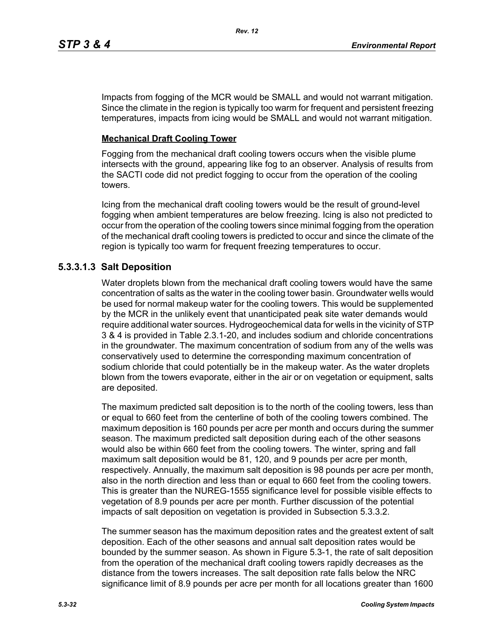Impacts from fogging of the MCR would be SMALL and would not warrant mitigation. Since the climate in the region is typically too warm for frequent and persistent freezing temperatures, impacts from icing would be SMALL and would not warrant mitigation.

## **Mechanical Draft Cooling Tower**

Fogging from the mechanical draft cooling towers occurs when the visible plume intersects with the ground, appearing like fog to an observer. Analysis of results from the SACTI code did not predict fogging to occur from the operation of the cooling towers.

Icing from the mechanical draft cooling towers would be the result of ground-level fogging when ambient temperatures are below freezing. Icing is also not predicted to occur from the operation of the cooling towers since minimal fogging from the operation of the mechanical draft cooling towers is predicted to occur and since the climate of the region is typically too warm for frequent freezing temperatures to occur.

# **5.3.3.1.3 Salt Deposition**

Water droplets blown from the mechanical draft cooling towers would have the same concentration of salts as the water in the cooling tower basin. Groundwater wells would be used for normal makeup water for the cooling towers. This would be supplemented by the MCR in the unlikely event that unanticipated peak site water demands would require additional water sources. Hydrogeochemical data for wells in the vicinity of STP 3 & 4 is provided in Table 2.3.1-20, and includes sodium and chloride concentrations in the groundwater. The maximum concentration of sodium from any of the wells was conservatively used to determine the corresponding maximum concentration of sodium chloride that could potentially be in the makeup water. As the water droplets blown from the towers evaporate, either in the air or on vegetation or equipment, salts are deposited.

The maximum predicted salt deposition is to the north of the cooling towers, less than or equal to 660 feet from the centerline of both of the cooling towers combined. The maximum deposition is 160 pounds per acre per month and occurs during the summer season. The maximum predicted salt deposition during each of the other seasons would also be within 660 feet from the cooling towers. The winter, spring and fall maximum salt deposition would be 81, 120, and 9 pounds per acre per month, respectively. Annually, the maximum salt deposition is 98 pounds per acre per month, also in the north direction and less than or equal to 660 feet from the cooling towers. This is greater than the NUREG-1555 significance level for possible visible effects to vegetation of 8.9 pounds per acre per month. Further discussion of the potential impacts of salt deposition on vegetation is provided in Subsection 5.3.3.2.

The summer season has the maximum deposition rates and the greatest extent of salt deposition. Each of the other seasons and annual salt deposition rates would be bounded by the summer season. As shown in Figure 5.3-1, the rate of salt deposition from the operation of the mechanical draft cooling towers rapidly decreases as the distance from the towers increases. The salt deposition rate falls below the NRC significance limit of 8.9 pounds per acre per month for all locations greater than 1600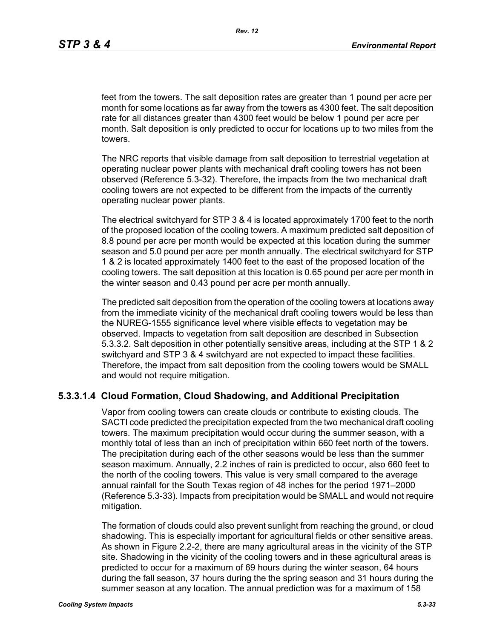feet from the towers. The salt deposition rates are greater than 1 pound per acre per month for some locations as far away from the towers as 4300 feet. The salt deposition rate for all distances greater than 4300 feet would be below 1 pound per acre per month. Salt deposition is only predicted to occur for locations up to two miles from the towers.

The NRC reports that visible damage from salt deposition to terrestrial vegetation at operating nuclear power plants with mechanical draft cooling towers has not been observed (Reference 5.3-32). Therefore, the impacts from the two mechanical draft cooling towers are not expected to be different from the impacts of the currently operating nuclear power plants.

The electrical switchyard for STP 3 & 4 is located approximately 1700 feet to the north of the proposed location of the cooling towers. A maximum predicted salt deposition of 8.8 pound per acre per month would be expected at this location during the summer season and 5.0 pound per acre per month annually. The electrical switchyard for STP 1 & 2 is located approximately 1400 feet to the east of the proposed location of the cooling towers. The salt deposition at this location is 0.65 pound per acre per month in the winter season and 0.43 pound per acre per month annually.

The predicted salt deposition from the operation of the cooling towers at locations away from the immediate vicinity of the mechanical draft cooling towers would be less than the NUREG-1555 significance level where visible effects to vegetation may be observed. Impacts to vegetation from salt deposition are described in Subsection 5.3.3.2. Salt deposition in other potentially sensitive areas, including at the STP 1 & 2 switchyard and STP 3 & 4 switchyard are not expected to impact these facilities. Therefore, the impact from salt deposition from the cooling towers would be SMALL and would not require mitigation.

### **5.3.3.1.4 Cloud Formation, Cloud Shadowing, and Additional Precipitation**

Vapor from cooling towers can create clouds or contribute to existing clouds. The SACTI code predicted the precipitation expected from the two mechanical draft cooling towers. The maximum precipitation would occur during the summer season, with a monthly total of less than an inch of precipitation within 660 feet north of the towers. The precipitation during each of the other seasons would be less than the summer season maximum. Annually, 2.2 inches of rain is predicted to occur, also 660 feet to the north of the cooling towers. This value is very small compared to the average annual rainfall for the South Texas region of 48 inches for the period 1971–2000 (Reference 5.3-33). Impacts from precipitation would be SMALL and would not require mitigation.

The formation of clouds could also prevent sunlight from reaching the ground, or cloud shadowing. This is especially important for agricultural fields or other sensitive areas. As shown in Figure 2.2-2, there are many agricultural areas in the vicinity of the STP site. Shadowing in the vicinity of the cooling towers and in these agricultural areas is predicted to occur for a maximum of 69 hours during the winter season, 64 hours during the fall season, 37 hours during the the spring season and 31 hours during the summer season at any location. The annual prediction was for a maximum of 158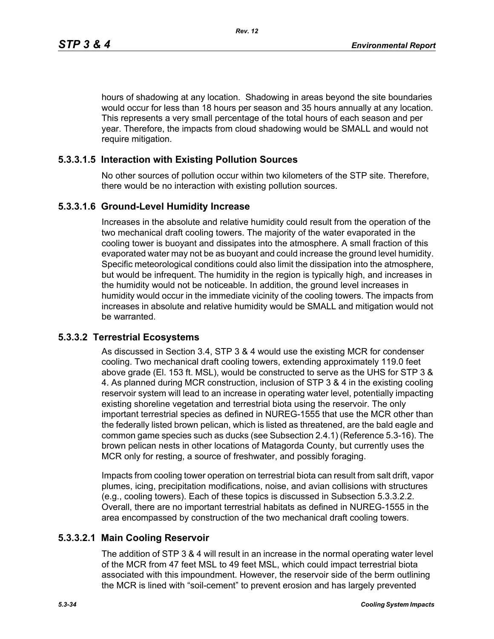hours of shadowing at any location. Shadowing in areas beyond the site boundaries would occur for less than 18 hours per season and 35 hours annually at any location. This represents a very small percentage of the total hours of each season and per year. Therefore, the impacts from cloud shadowing would be SMALL and would not require mitigation.

## **5.3.3.1.5 Interaction with Existing Pollution Sources**

No other sources of pollution occur within two kilometers of the STP site. Therefore, there would be no interaction with existing pollution sources.

### **5.3.3.1.6 Ground-Level Humidity Increase**

Increases in the absolute and relative humidity could result from the operation of the two mechanical draft cooling towers. The majority of the water evaporated in the cooling tower is buoyant and dissipates into the atmosphere. A small fraction of this evaporated water may not be as buoyant and could increase the ground level humidity. Specific meteorological conditions could also limit the dissipation into the atmosphere, but would be infrequent. The humidity in the region is typically high, and increases in the humidity would not be noticeable. In addition, the ground level increases in humidity would occur in the immediate vicinity of the cooling towers. The impacts from increases in absolute and relative humidity would be SMALL and mitigation would not be warranted.

# **5.3.3.2 Terrestrial Ecosystems**

As discussed in Section 3.4, STP 3 & 4 would use the existing MCR for condenser cooling. Two mechanical draft cooling towers, extending approximately 119.0 feet above grade (El. 153 ft. MSL), would be constructed to serve as the UHS for STP 3 & 4. As planned during MCR construction, inclusion of STP 3 & 4 in the existing cooling reservoir system will lead to an increase in operating water level, potentially impacting existing shoreline vegetation and terrestrial biota using the reservoir. The only important terrestrial species as defined in NUREG-1555 that use the MCR other than the federally listed brown pelican, which is listed as threatened, are the bald eagle and common game species such as ducks (see Subsection 2.4.1) (Reference 5.3-16). The brown pelican nests in other locations of Matagorda County, but currently uses the MCR only for resting, a source of freshwater, and possibly foraging.

Impacts from cooling tower operation on terrestrial biota can result from salt drift, vapor plumes, icing, precipitation modifications, noise, and avian collisions with structures (e.g., cooling towers). Each of these topics is discussed in Subsection 5.3.3.2.2. Overall, there are no important terrestrial habitats as defined in NUREG-1555 in the area encompassed by construction of the two mechanical draft cooling towers.

## **5.3.3.2.1 Main Cooling Reservoir**

The addition of STP 3 & 4 will result in an increase in the normal operating water level of the MCR from 47 feet MSL to 49 feet MSL, which could impact terrestrial biota associated with this impoundment. However, the reservoir side of the berm outlining the MCR is lined with "soil-cement" to prevent erosion and has largely prevented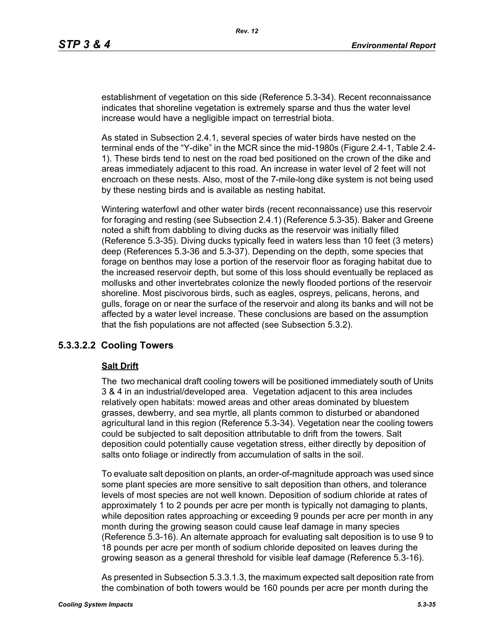establishment of vegetation on this side (Reference 5.3-34). Recent reconnaissance indicates that shoreline vegetation is extremely sparse and thus the water level increase would have a negligible impact on terrestrial biota.

As stated in Subsection 2.4.1, several species of water birds have nested on the terminal ends of the "Y-dike" in the MCR since the mid-1980s (Figure 2.4-1, Table 2.4- 1). These birds tend to nest on the road bed positioned on the crown of the dike and areas immediately adjacent to this road. An increase in water level of 2 feet will not encroach on these nests. Also, most of the 7-mile-long dike system is not being used by these nesting birds and is available as nesting habitat.

Wintering waterfowl and other water birds (recent reconnaissance) use this reservoir for foraging and resting (see Subsection 2.4.1) (Reference 5.3-35). Baker and Greene noted a shift from dabbling to diving ducks as the reservoir was initially filled (Reference 5.3-35). Diving ducks typically feed in waters less than 10 feet (3 meters) deep (References 5.3-36 and 5.3-37). Depending on the depth, some species that forage on benthos may lose a portion of the reservoir floor as foraging habitat due to the increased reservoir depth, but some of this loss should eventually be replaced as mollusks and other invertebrates colonize the newly flooded portions of the reservoir shoreline. Most piscivorous birds, such as eagles, ospreys, pelicans, herons, and gulls, forage on or near the surface of the reservoir and along its banks and will not be affected by a water level increase. These conclusions are based on the assumption that the fish populations are not affected (see Subsection 5.3.2).

### **5.3.3.2.2 Cooling Towers**

#### **Salt Drift**

The two mechanical draft cooling towers will be positioned immediately south of Units 3 & 4 in an industrial/developed area. Vegetation adjacent to this area includes relatively open habitats: mowed areas and other areas dominated by bluestem grasses, dewberry, and sea myrtle, all plants common to disturbed or abandoned agricultural land in this region (Reference 5.3-34). Vegetation near the cooling towers could be subjected to salt deposition attributable to drift from the towers. Salt deposition could potentially cause vegetation stress, either directly by deposition of salts onto foliage or indirectly from accumulation of salts in the soil.

To evaluate salt deposition on plants, an order-of-magnitude approach was used since some plant species are more sensitive to salt deposition than others, and tolerance levels of most species are not well known. Deposition of sodium chloride at rates of approximately 1 to 2 pounds per acre per month is typically not damaging to plants, while deposition rates approaching or exceeding 9 pounds per acre per month in any month during the growing season could cause leaf damage in many species (Reference 5.3-16). An alternate approach for evaluating salt deposition is to use 9 to 18 pounds per acre per month of sodium chloride deposited on leaves during the growing season as a general threshold for visible leaf damage (Reference 5.3-16).

As presented in Subsection 5.3.3.1.3, the maximum expected salt deposition rate from the combination of both towers would be 160 pounds per acre per month during the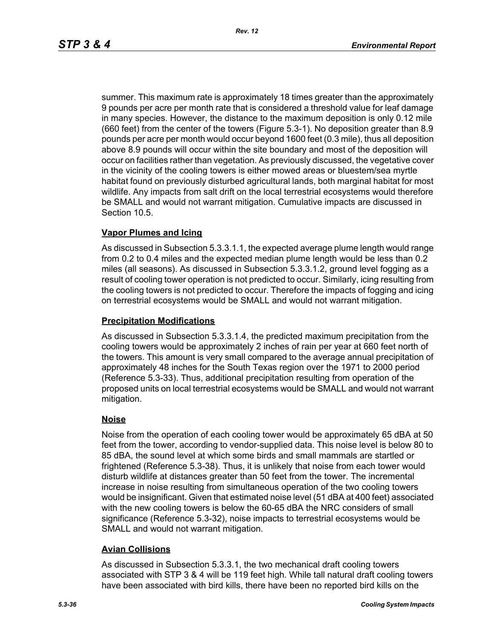summer. This maximum rate is approximately 18 times greater than the approximately 9 pounds per acre per month rate that is considered a threshold value for leaf damage in many species. However, the distance to the maximum deposition is only 0.12 mile (660 feet) from the center of the towers (Figure 5.3-1). No deposition greater than 8.9 pounds per acre per month would occur beyond 1600 feet (0.3 mile), thus all deposition above 8.9 pounds will occur within the site boundary and most of the deposition will occur on facilities rather than vegetation. As previously discussed, the vegetative cover in the vicinity of the cooling towers is either mowed areas or bluestem/sea myrtle habitat found on previously disturbed agricultural lands, both marginal habitat for most wildlife. Any impacts from salt drift on the local terrestrial ecosystems would therefore be SMALL and would not warrant mitigation. Cumulative impacts are discussed in Section 10.5.

### **Vapor Plumes and Icing**

As discussed in Subsection 5.3.3.1.1, the expected average plume length would range from 0.2 to 0.4 miles and the expected median plume length would be less than 0.2 miles (all seasons). As discussed in Subsection 5.3.3.1.2, ground level fogging as a result of cooling tower operation is not predicted to occur. Similarly, icing resulting from the cooling towers is not predicted to occur. Therefore the impacts of fogging and icing on terrestrial ecosystems would be SMALL and would not warrant mitigation.

#### **Precipitation Modifications**

As discussed in Subsection 5.3.3.1.4, the predicted maximum precipitation from the cooling towers would be approximately 2 inches of rain per year at 660 feet north of the towers. This amount is very small compared to the average annual precipitation of approximately 48 inches for the South Texas region over the 1971 to 2000 period (Reference 5.3-33). Thus, additional precipitation resulting from operation of the proposed units on local terrestrial ecosystems would be SMALL and would not warrant mitigation.

### **Noise**

Noise from the operation of each cooling tower would be approximately 65 dBA at 50 feet from the tower, according to vendor-supplied data. This noise level is below 80 to 85 dBA, the sound level at which some birds and small mammals are startled or frightened (Reference 5.3-38). Thus, it is unlikely that noise from each tower would disturb wildlife at distances greater than 50 feet from the tower. The incremental increase in noise resulting from simultaneous operation of the two cooling towers would be insignificant. Given that estimated noise level (51 dBA at 400 feet) associated with the new cooling towers is below the 60-65 dBA the NRC considers of small significance (Reference 5.3-32), noise impacts to terrestrial ecosystems would be SMALL and would not warrant mitigation.

### **Avian Collisions**

As discussed in Subsection 5.3.3.1, the two mechanical draft cooling towers associated with STP 3 & 4 will be 119 feet high. While tall natural draft cooling towers have been associated with bird kills, there have been no reported bird kills on the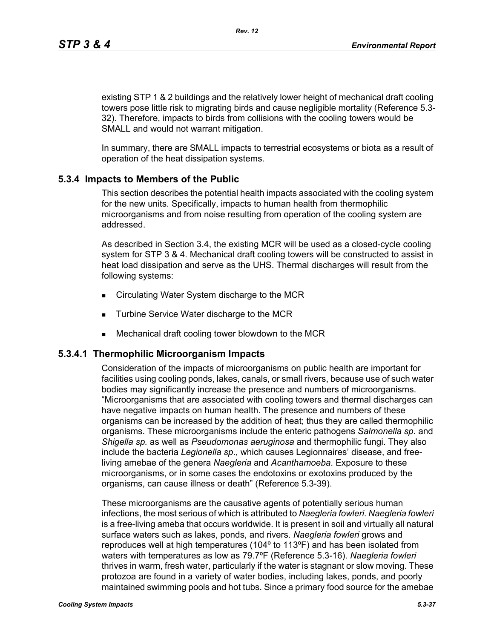existing STP 1 & 2 buildings and the relatively lower height of mechanical draft cooling towers pose little risk to migrating birds and cause negligible mortality (Reference 5.3- 32). Therefore, impacts to birds from collisions with the cooling towers would be SMALL and would not warrant mitigation.

In summary, there are SMALL impacts to terrestrial ecosystems or biota as a result of operation of the heat dissipation systems.

# **5.3.4 Impacts to Members of the Public**

This section describes the potential health impacts associated with the cooling system for the new units. Specifically, impacts to human health from thermophilic microorganisms and from noise resulting from operation of the cooling system are addressed.

As described in Section 3.4, the existing MCR will be used as a closed-cycle cooling system for STP 3 & 4. Mechanical draft cooling towers will be constructed to assist in heat load dissipation and serve as the UHS. Thermal discharges will result from the following systems:

- Circulating Water System discharge to the MCR
- **Turbine Service Water discharge to the MCR**
- Mechanical draft cooling tower blowdown to the MCR

# **5.3.4.1 Thermophilic Microorganism Impacts**

Consideration of the impacts of microorganisms on public health are important for facilities using cooling ponds, lakes, canals, or small rivers, because use of such water bodies may significantly increase the presence and numbers of microorganisms. "Microorganisms that are associated with cooling towers and thermal discharges can have negative impacts on human health. The presence and numbers of these organisms can be increased by the addition of heat; thus they are called thermophilic organisms. These microorganisms include the enteric pathogens *Salmonella sp*. and *Shigella sp.* as well as *Pseudomonas aeruginosa* and thermophilic fungi. They also include the bacteria *Legionella sp*., which causes Legionnaires' disease, and freeliving amebae of the genera *Naegleria* and *Acanthamoeba*. Exposure to these microorganisms, or in some cases the endotoxins or exotoxins produced by the organisms, can cause illness or death" (Reference 5.3-39).

These microorganisms are the causative agents of potentially serious human infections, the most serious of which is attributed to *Naegleria fowleri*. *Naegleria fowleri* is a free-living ameba that occurs worldwide. It is present in soil and virtually all natural surface waters such as lakes, ponds, and rivers. *Naegleria fowleri* grows and reproduces well at high temperatures (104º to 113ºF) and has been isolated from waters with temperatures as low as 79.7ºF (Reference 5.3-16). *Naegleria fowleri* thrives in warm, fresh water, particularly if the water is stagnant or slow moving. These protozoa are found in a variety of water bodies, including lakes, ponds, and poorly maintained swimming pools and hot tubs. Since a primary food source for the amebae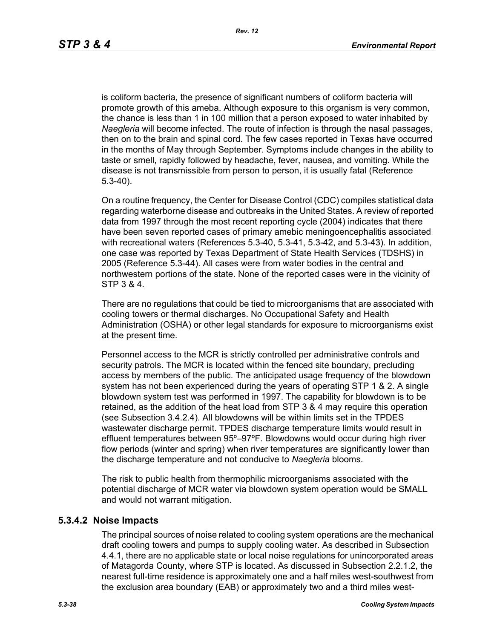is coliform bacteria, the presence of significant numbers of coliform bacteria will promote growth of this ameba. Although exposure to this organism is very common, the chance is less than 1 in 100 million that a person exposed to water inhabited by *Naegleria* will become infected. The route of infection is through the nasal passages, then on to the brain and spinal cord. The few cases reported in Texas have occurred in the months of May through September. Symptoms include changes in the ability to taste or smell, rapidly followed by headache, fever, nausea, and vomiting. While the disease is not transmissible from person to person, it is usually fatal (Reference 5.3-40).

On a routine frequency, the Center for Disease Control (CDC) compiles statistical data regarding waterborne disease and outbreaks in the United States. A review of reported data from 1997 through the most recent reporting cycle (2004) indicates that there have been seven reported cases of primary amebic meningoencephalitis associated with recreational waters (References 5.3-40, 5.3-41, 5.3-42, and 5.3-43). In addition, one case was reported by Texas Department of State Health Services (TDSHS) in 2005 (Reference 5.3-44). All cases were from water bodies in the central and northwestern portions of the state. None of the reported cases were in the vicinity of STP 3 & 4.

There are no regulations that could be tied to microorganisms that are associated with cooling towers or thermal discharges. No Occupational Safety and Health Administration (OSHA) or other legal standards for exposure to microorganisms exist at the present time.

Personnel access to the MCR is strictly controlled per administrative controls and security patrols. The MCR is located within the fenced site boundary, precluding access by members of the public. The anticipated usage frequency of the blowdown system has not been experienced during the years of operating STP 1 & 2. A single blowdown system test was performed in 1997. The capability for blowdown is to be retained, as the addition of the heat load from STP 3 & 4 may require this operation (see Subsection 3.4.2.4). All blowdowns will be within limits set in the TPDES wastewater discharge permit. TPDES discharge temperature limits would result in effluent temperatures between 95º–97ºF. Blowdowns would occur during high river flow periods (winter and spring) when river temperatures are significantly lower than the discharge temperature and not conducive to *Naegleria* blooms.

The risk to public health from thermophilic microorganisms associated with the potential discharge of MCR water via blowdown system operation would be SMALL and would not warrant mitigation.

### **5.3.4.2 Noise Impacts**

The principal sources of noise related to cooling system operations are the mechanical draft cooling towers and pumps to supply cooling water. As described in Subsection 4.4.1, there are no applicable state or local noise regulations for unincorporated areas of Matagorda County, where STP is located. As discussed in Subsection 2.2.1.2, the nearest full-time residence is approximately one and a half miles west-southwest from the exclusion area boundary (EAB) or approximately two and a third miles west-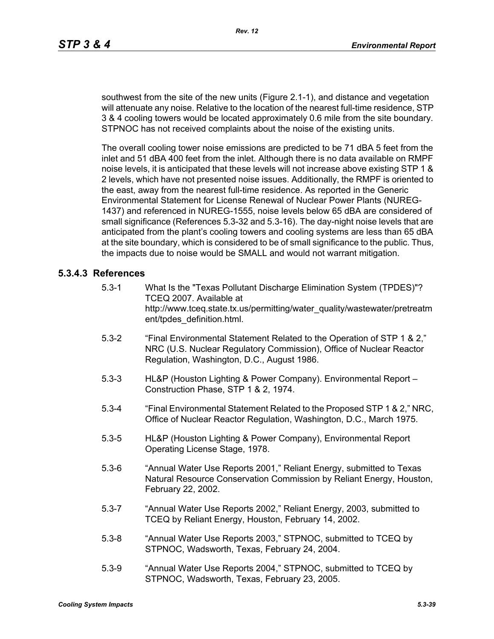southwest from the site of the new units (Figure 2.1-1), and distance and vegetation will attenuate any noise. Relative to the location of the nearest full-time residence, STP 3 & 4 cooling towers would be located approximately 0.6 mile from the site boundary. STPNOC has not received complaints about the noise of the existing units.

The overall cooling tower noise emissions are predicted to be 71 dBA 5 feet from the inlet and 51 dBA 400 feet from the inlet. Although there is no data available on RMPF noise levels, it is anticipated that these levels will not increase above existing STP 1 & 2 levels, which have not presented noise issues. Additionally, the RMPF is oriented to the east, away from the nearest full-time residence. As reported in the Generic Environmental Statement for License Renewal of Nuclear Power Plants (NUREG-1437) and referenced in NUREG-1555, noise levels below 65 dBA are considered of small significance (References 5.3-32 and 5.3-16). The day-night noise levels that are anticipated from the plant's cooling towers and cooling systems are less than 65 dBA at the site boundary, which is considered to be of small significance to the public. Thus, the impacts due to noise would be SMALL and would not warrant mitigation.

### **5.3.4.3 References**

- 5.3-1 What Is the "Texas Pollutant Discharge Elimination System (TPDES)"? TCEQ 2007. Available at http://www.tceq.state.tx.us/permitting/water\_quality/wastewater/pretreatm ent/tpdes\_definition.html.
- 5.3-2 "Final Environmental Statement Related to the Operation of STP 1 & 2," NRC (U.S. Nuclear Regulatory Commission), Office of Nuclear Reactor Regulation, Washington, D.C., August 1986.
- 5.3-3 HL&P (Houston Lighting & Power Company). Environmental Report Construction Phase, STP 1 & 2, 1974.
- 5.3-4 "Final Environmental Statement Related to the Proposed STP 1 & 2," NRC, Office of Nuclear Reactor Regulation, Washington, D.C., March 1975.
- 5.3-5 HL&P (Houston Lighting & Power Company), Environmental Report Operating License Stage, 1978.
- 5.3-6 "Annual Water Use Reports 2001," Reliant Energy, submitted to Texas Natural Resource Conservation Commission by Reliant Energy, Houston, February 22, 2002.
- 5.3-7 "Annual Water Use Reports 2002," Reliant Energy, 2003, submitted to TCEQ by Reliant Energy, Houston, February 14, 2002.
- 5.3-8 "Annual Water Use Reports 2003," STPNOC, submitted to TCEQ by STPNOC, Wadsworth, Texas, February 24, 2004.
- 5.3-9 "Annual Water Use Reports 2004," STPNOC, submitted to TCEQ by STPNOC, Wadsworth, Texas, February 23, 2005.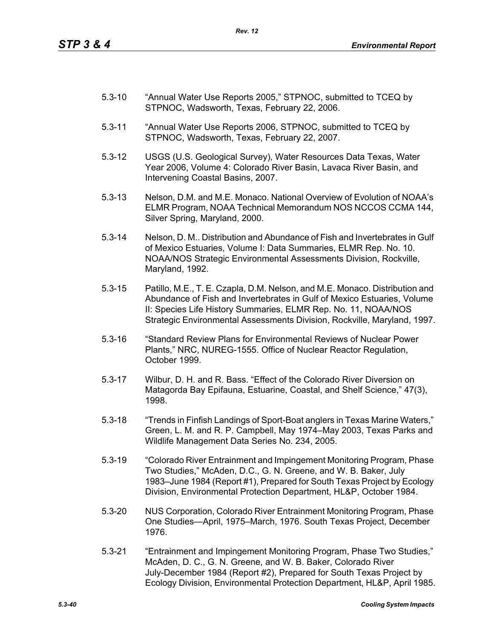- 5.3-10 "Annual Water Use Reports 2005," STPNOC, submitted to TCEQ by STPNOC, Wadsworth, Texas, February 22, 2006.
- 5.3-11 "Annual Water Use Reports 2006, STPNOC, submitted to TCEQ by STPNOC, Wadsworth, Texas, February 22, 2007.
- 5.3-12 USGS (U.S. Geological Survey), Water Resources Data Texas, Water Year 2006, Volume 4: Colorado River Basin, Lavaca River Basin, and Intervening Coastal Basins, 2007.
- 5.3-13 Nelson, D.M. and M.E. Monaco. National Overview of Evolution of NOAA's ELMR Program, NOAA Technical Memorandum NOS NCCOS CCMA 144, Silver Spring, Maryland, 2000.
- 5.3-14 Nelson, D. M.. Distribution and Abundance of Fish and Invertebrates in Gulf of Mexico Estuaries, Volume I: Data Summaries, ELMR Rep. No. 10. NOAA/NOS Strategic Environmental Assessments Division, Rockville, Maryland, 1992.
- 5.3-15 Patillo, M.E., T. E. Czapla, D.M. Nelson, and M.E. Monaco. Distribution and Abundance of Fish and Invertebrates in Gulf of Mexico Estuaries, Volume II: Species Life History Summaries, ELMR Rep. No. 11, NOAA/NOS Strategic Environmental Assessments Division, Rockville, Maryland, 1997.
- 5.3-16 "Standard Review Plans for Environmental Reviews of Nuclear Power Plants," NRC, NUREG-1555. Office of Nuclear Reactor Regulation, October 1999.
- 5.3-17 Wilbur, D. H. and R. Bass. "Effect of the Colorado River Diversion on Matagorda Bay Epifauna, Estuarine, Coastal, and Shelf Science," 47(3), 1998.
- 5.3-18 "Trends in Finfish Landings of Sport-Boat anglers in Texas Marine Waters," Green, L. M. and R. P. Campbell, May 1974–May 2003, Texas Parks and Wildlife Management Data Series No. 234, 2005.
- 5.3-19 "Colorado River Entrainment and Impingement Monitoring Program, Phase Two Studies," McAden, D.C., G. N. Greene, and W. B. Baker, July 1983–June 1984 (Report #1), Prepared for South Texas Project by Ecology Division, Environmental Protection Department, HL&P, October 1984.
- 5.3-20 NUS Corporation, Colorado River Entrainment Monitoring Program, Phase One Studies—April, 1975–March, 1976. South Texas Project, December 1976.
- 5.3-21 "Entrainment and Impingement Monitoring Program, Phase Two Studies," McAden, D. C., G. N. Greene, and W. B. Baker, Colorado River July-December 1984 (Report #2), Prepared for South Texas Project by Ecology Division, Environmental Protection Department, HL&P, April 1985.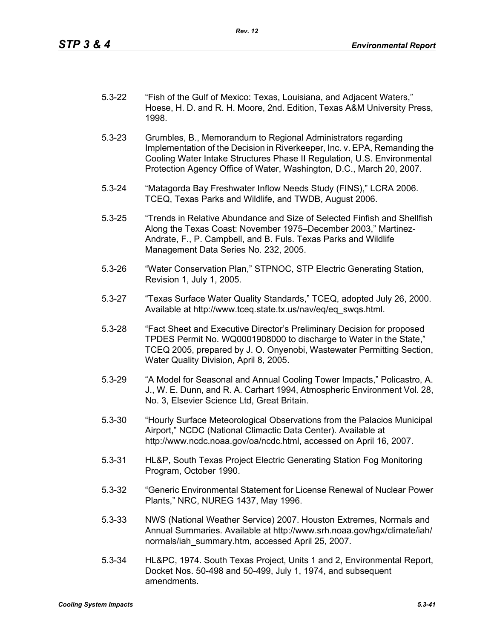- 5.3-22 "Fish of the Gulf of Mexico: Texas, Louisiana, and Adjacent Waters," Hoese, H. D. and R. H. Moore, 2nd. Edition, Texas A&M University Press, 1998.
- 5.3-23 Grumbles, B., Memorandum to Regional Administrators regarding Implementation of the Decision in Riverkeeper, Inc. v. EPA, Remanding the Cooling Water Intake Structures Phase II Regulation, U.S. Environmental Protection Agency Office of Water, Washington, D.C., March 20, 2007.
- 5.3-24 "Matagorda Bay Freshwater Inflow Needs Study (FINS)," LCRA 2006. TCEQ, Texas Parks and Wildlife, and TWDB, August 2006.
- 5.3-25 "Trends in Relative Abundance and Size of Selected Finfish and Shellfish Along the Texas Coast: November 1975–December 2003," Martinez-Andrate, F., P. Campbell, and B. Fuls. Texas Parks and Wildlife Management Data Series No. 232, 2005.
- 5.3-26 "Water Conservation Plan," STPNOC, STP Electric Generating Station, Revision 1, July 1, 2005.
- 5.3-27 "Texas Surface Water Quality Standards," TCEQ, adopted July 26, 2000. Available at http://www.tceq.state.tx.us/nav/eq/eq\_swqs.html.
- 5.3-28 "Fact Sheet and Executive Director's Preliminary Decision for proposed TPDES Permit No. WQ0001908000 to discharge to Water in the State," TCEQ 2005, prepared by J. O. Onyenobi, Wastewater Permitting Section, Water Quality Division, April 8, 2005.
- 5.3-29 "A Model for Seasonal and Annual Cooling Tower Impacts," Policastro, A. J., W. E. Dunn, and R. A. Carhart 1994, Atmospheric Environment Vol. 28, No. 3, Elsevier Science Ltd, Great Britain.
- 5.3-30 "Hourly Surface Meteorological Observations from the Palacios Municipal Airport," NCDC (National Climactic Data Center). Available at http://www.ncdc.noaa.gov/oa/ncdc.html, accessed on April 16, 2007.
- 5.3-31 HL&P, South Texas Project Electric Generating Station Fog Monitoring Program, October 1990.
- 5.3-32 "Generic Environmental Statement for License Renewal of Nuclear Power Plants," NRC, NUREG 1437, May 1996.
- 5.3-33 NWS (National Weather Service) 2007. Houston Extremes, Normals and Annual Summaries. Available at http://www.srh.noaa.gov/hgx/climate/iah/ normals/iah\_summary.htm, accessed April 25, 2007.
- 5.3-34 HL&PC, 1974. South Texas Project, Units 1 and 2, Environmental Report, Docket Nos. 50-498 and 50-499, July 1, 1974, and subsequent amendments.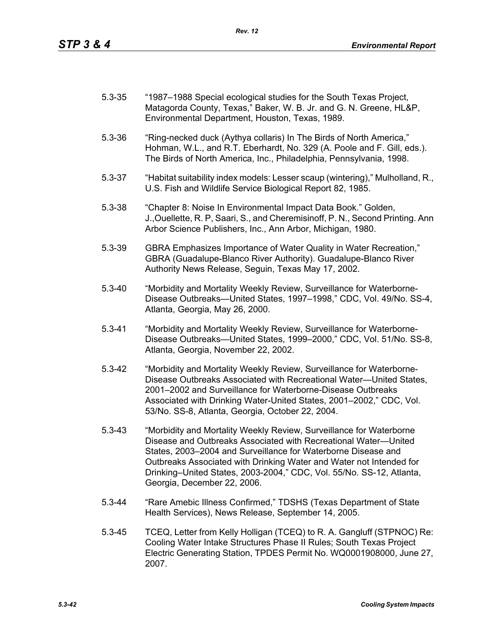| $5.3 - 35$ | "1987–1988 Special ecological studies for the South Texas Project, |
|------------|--------------------------------------------------------------------|
|            | Matagorda County, Texas," Baker, W. B. Jr. and G. N. Greene, HL&P, |
|            | Environmental Department, Houston, Texas, 1989.                    |

- 5.3-36 "Ring-necked duck (Aythya collaris) In The Birds of North America," Hohman, W.L., and R.T. Eberhardt, No. 329 (A. Poole and F. Gill, eds.). The Birds of North America, Inc., Philadelphia, Pennsylvania, 1998.
- 5.3-37 "Habitat suitability index models: Lesser scaup (wintering)," Mulholland, R., U.S. Fish and Wildlife Service Biological Report 82, 1985.
- 5.3-38 "Chapter 8: Noise In Environmental Impact Data Book." Golden, J.,Ouellette, R. P, Saari, S., and Cheremisinoff, P. N., Second Printing. Ann Arbor Science Publishers, Inc., Ann Arbor, Michigan, 1980.
- 5.3-39 GBRA Emphasizes Importance of Water Quality in Water Recreation," GBRA (Guadalupe-Blanco River Authority). Guadalupe-Blanco River Authority News Release, Seguin, Texas May 17, 2002.
- 5.3-40 "Morbidity and Mortality Weekly Review, Surveillance for Waterborne-Disease Outbreaks—United States, 1997–1998," CDC, Vol. 49/No. SS-4, Atlanta, Georgia, May 26, 2000.
- 5.3-41 "Morbidity and Mortality Weekly Review, Surveillance for Waterborne-Disease Outbreaks—United States, 1999–2000," CDC, Vol. 51/No. SS-8, Atlanta, Georgia, November 22, 2002.
- 5.3-42 "Morbidity and Mortality Weekly Review, Surveillance for Waterborne-Disease Outbreaks Associated with Recreational Water—United States, 2001–2002 and Surveillance for Waterborne-Disease Outbreaks Associated with Drinking Water-United States, 2001–2002," CDC, Vol. 53/No. SS-8, Atlanta, Georgia, October 22, 2004.
- 5.3-43 "Morbidity and Mortality Weekly Review, Surveillance for Waterborne Disease and Outbreaks Associated with Recreational Water—United States, 2003–2004 and Surveillance for Waterborne Disease and Outbreaks Associated with Drinking Water and Water not Intended for Drinking–United States, 2003-2004," CDC, Vol. 55/No. SS-12, Atlanta, Georgia, December 22, 2006.
- 5.3-44 "Rare Amebic Illness Confirmed," TDSHS (Texas Department of State Health Services), News Release, September 14, 2005.
- 5.3-45 TCEQ, Letter from Kelly Holligan (TCEQ) to R. A. Gangluff (STPNOC) Re: Cooling Water Intake Structures Phase II Rules; South Texas Project Electric Generating Station, TPDES Permit No. WQ0001908000, June 27, 2007.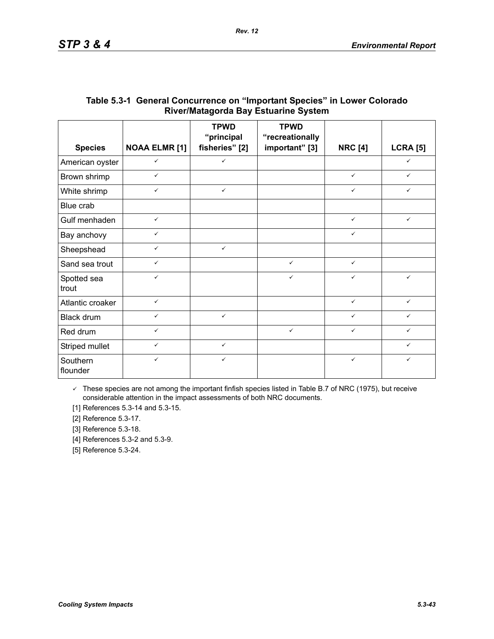|                      | <b>NOAA ELMR [1]</b> | <b>TPWD</b><br>"principal | <b>TPWD</b><br>"recreationally |                |                 |
|----------------------|----------------------|---------------------------|--------------------------------|----------------|-----------------|
| <b>Species</b>       |                      | fisheries" [2]            | important" [3]                 | <b>NRC [4]</b> | <b>LCRA [5]</b> |
| American oyster      | $\checkmark$         | $\checkmark$              |                                |                | $\checkmark$    |
| Brown shrimp         | $\checkmark$         |                           |                                | $\checkmark$   | $\checkmark$    |
| White shrimp         | $\checkmark$         | $\checkmark$              |                                | ✓              | $\checkmark$    |
| Blue crab            |                      |                           |                                |                |                 |
| Gulf menhaden        | $\checkmark$         |                           |                                | $\checkmark$   | $\checkmark$    |
| Bay anchovy          | ✓                    |                           |                                | ✓              |                 |
| Sheepshead           | $\checkmark$         | $\checkmark$              |                                |                |                 |
| Sand sea trout       | $\checkmark$         |                           | $\checkmark$                   | $\checkmark$   |                 |
| Spotted sea<br>trout | $\checkmark$         |                           | $\checkmark$                   | $\checkmark$   | $\checkmark$    |
| Atlantic croaker     | $\checkmark$         |                           |                                | $\checkmark$   | $\checkmark$    |
| Black drum           | $\checkmark$         | $\checkmark$              |                                | ✓              | ✓               |
| Red drum             | $\checkmark$         |                           | $\checkmark$                   | $\checkmark$   | ✓               |
| Striped mullet       | $\checkmark$         | $\checkmark$              |                                |                | $\checkmark$    |
| Southern<br>flounder | $\checkmark$         | $\checkmark$              |                                | $\checkmark$   | $\checkmark$    |

## **Table 5.3-1 General Concurrence on "Important Species" in Lower Colorado River/Matagorda Bay Estuarine System**

 $\checkmark$  These species are not among the important finfish species listed in Table B.7 of NRC (1975), but receive considerable attention in the impact assessments of both NRC documents.

[1] References 5.3-14 and 5.3-15.

[2] Reference 5.3-17.

[3] Reference 5.3-18.

[4] References 5.3-2 and 5.3-9.

[5] Reference 5.3-24.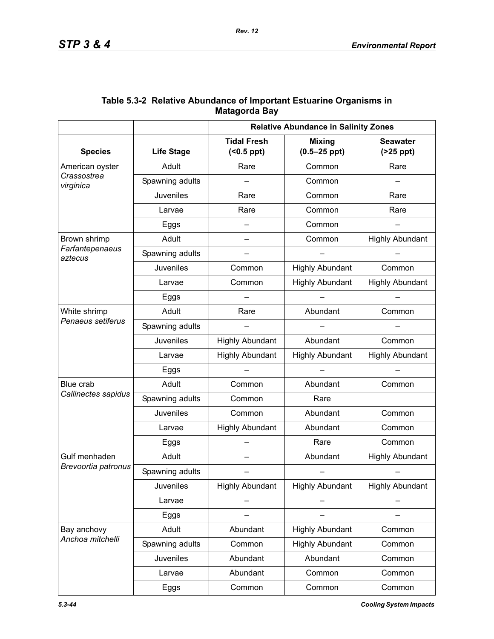|                                   | <b>Relative Abundance in Salinity Zones</b> |                                        |                                   |                                  |
|-----------------------------------|---------------------------------------------|----------------------------------------|-----------------------------------|----------------------------------|
| <b>Species</b>                    | <b>Life Stage</b>                           | <b>Tidal Fresh</b><br>$( <0.5$ ppt $)$ | <b>Mixing</b><br>$(0.5 - 25$ ppt) | <b>Seawater</b><br>$(25$ ppt $)$ |
| American oyster                   | Adult                                       | Rare                                   | Common                            | Rare                             |
| Crassostrea<br>virginica          | Spawning adults                             |                                        | Common                            |                                  |
|                                   | <b>Juveniles</b>                            | Rare                                   | Common                            | Rare                             |
|                                   | Larvae                                      | Rare                                   | Common                            | Rare                             |
|                                   | Eggs                                        | $\qquad \qquad$                        | Common                            |                                  |
| Brown shrimp                      | Adult                                       |                                        | Common                            | <b>Highly Abundant</b>           |
| Farfantepenaeus<br>aztecus        | Spawning adults                             |                                        |                                   |                                  |
|                                   | Juveniles                                   | Common                                 | <b>Highly Abundant</b>            | Common                           |
|                                   | Larvae                                      | Common                                 | <b>Highly Abundant</b>            | <b>Highly Abundant</b>           |
|                                   | Eggs                                        |                                        |                                   |                                  |
| White shrimp<br>Penaeus setiferus | Adult                                       | Rare                                   | Abundant                          | Common                           |
|                                   | Spawning adults                             |                                        |                                   |                                  |
|                                   | <b>Juveniles</b>                            | <b>Highly Abundant</b>                 | Abundant                          | Common                           |
|                                   | Larvae                                      | <b>Highly Abundant</b>                 | <b>Highly Abundant</b>            | <b>Highly Abundant</b>           |
|                                   | Eggs                                        |                                        |                                   |                                  |
| Blue crab                         | Adult                                       | Common                                 | Abundant                          | Common                           |
| Callinectes sapidus               | Spawning adults                             | Common                                 | Rare                              |                                  |
|                                   | Juveniles                                   | Common                                 | Abundant                          | Common                           |
|                                   | Larvae                                      | <b>Highly Abundant</b>                 | Abundant                          | Common                           |
|                                   | Eggs                                        |                                        | Rare                              | Common                           |
| Gulf menhaden                     | Adult                                       |                                        | Abundant                          | <b>Highly Abundant</b>           |
| Brevoortia patronus               | Spawning adults                             |                                        |                                   |                                  |
|                                   | <b>Juveniles</b>                            | <b>Highly Abundant</b>                 | <b>Highly Abundant</b>            | <b>Highly Abundant</b>           |
|                                   | Larvae                                      |                                        |                                   |                                  |
|                                   | Eggs                                        |                                        |                                   |                                  |
| Bay anchovy                       | Adult                                       | Abundant                               | <b>Highly Abundant</b>            | Common                           |
| Anchoa mitchelli                  | Spawning adults                             | Common                                 | <b>Highly Abundant</b>            | Common                           |
|                                   | Juveniles                                   | Abundant                               | Abundant                          | Common                           |
|                                   | Larvae                                      | Abundant                               | Common                            | Common                           |
|                                   | Eggs                                        | Common                                 | Common                            | Common                           |

## **Table 5.3-2 Relative Abundance of Important Estuarine Organisms in Matagorda Bay**

*5.3-44 Cooling System Impacts*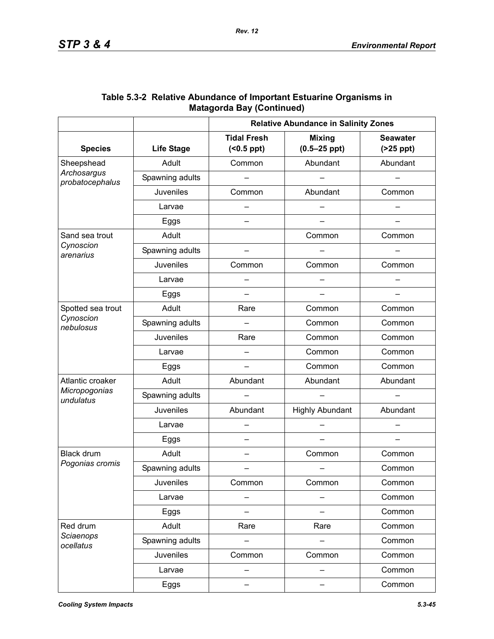|                                |                   | <b>Relative Abundance in Salinity Zones</b> |                                   |                               |  |
|--------------------------------|-------------------|---------------------------------------------|-----------------------------------|-------------------------------|--|
| <b>Species</b>                 | <b>Life Stage</b> | <b>Tidal Fresh</b><br>$( < 0.5$ ppt $)$     | <b>Mixing</b><br>$(0.5 - 25$ ppt) | <b>Seawater</b><br>$(25$ ppt) |  |
| Sheepshead                     | Adult             | Common                                      | Abundant                          | Abundant                      |  |
| Archosargus<br>probatocephalus | Spawning adults   |                                             |                                   |                               |  |
|                                | <b>Juveniles</b>  | Common                                      | Abundant                          | Common                        |  |
|                                | Larvae            |                                             |                                   |                               |  |
|                                | Eggs              |                                             |                                   |                               |  |
| Sand sea trout                 | Adult             |                                             | Common                            | Common                        |  |
| Cynoscion<br>arenarius         | Spawning adults   |                                             |                                   |                               |  |
|                                | Juveniles         | Common                                      | Common                            | Common                        |  |
|                                | Larvae            |                                             |                                   |                               |  |
|                                | Eggs              |                                             |                                   |                               |  |
| Spotted sea trout              | Adult             | Rare                                        | Common                            | Common                        |  |
| Cynoscion<br>nebulosus         | Spawning adults   |                                             | Common                            | Common                        |  |
|                                | <b>Juveniles</b>  | Rare                                        | Common                            | Common                        |  |
|                                | Larvae            |                                             | Common                            | Common                        |  |
|                                | Eggs              |                                             | Common                            | Common                        |  |
| Atlantic croaker               | Adult             | Abundant                                    | Abundant                          | Abundant                      |  |
| Micropogonias<br>undulatus     | Spawning adults   |                                             |                                   |                               |  |
|                                | <b>Juveniles</b>  | Abundant                                    | <b>Highly Abundant</b>            | Abundant                      |  |
|                                | Larvae            |                                             |                                   |                               |  |
|                                | Eggs              | —                                           |                                   |                               |  |
| Black drum                     | Adult             | —                                           | Common                            | Common                        |  |
| Pogonias cromis                | Spawning adults   |                                             |                                   | Common                        |  |
|                                | Juveniles         | Common                                      | Common                            | Common                        |  |
|                                | Larvae            |                                             |                                   | Common                        |  |
|                                | Eggs              |                                             |                                   | Common                        |  |
| Red drum                       | Adult             | Rare                                        | Rare                              | Common                        |  |
| Sciaenops<br>ocellatus         | Spawning adults   |                                             |                                   | Common                        |  |
|                                | Juveniles         | Common                                      | Common                            | Common                        |  |
|                                | Larvae            |                                             |                                   | Common                        |  |
|                                | Eggs              | —                                           |                                   | Common                        |  |

| Table 5.3-2 Relative Abundance of Important Estuarine Organisms in |
|--------------------------------------------------------------------|
| <b>Matagorda Bay (Continued)</b>                                   |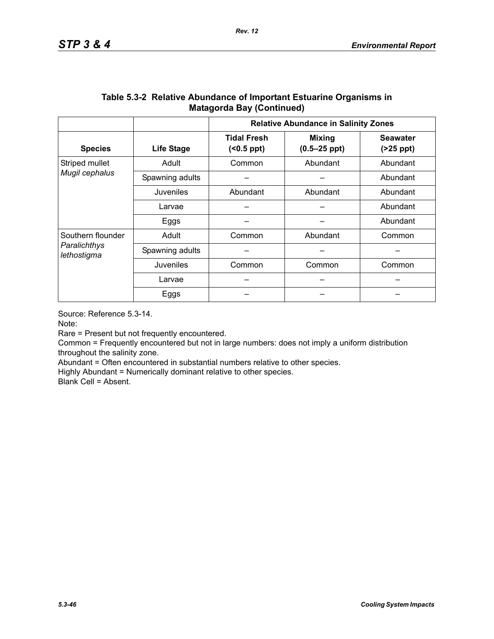|                                                  |                   | <b>Relative Abundance in Salinity Zones</b> |                                   |                               |  |
|--------------------------------------------------|-------------------|---------------------------------------------|-----------------------------------|-------------------------------|--|
| <b>Species</b>                                   | <b>Life Stage</b> | <b>Tidal Fresh</b><br>(                     | <b>Mixing</b><br>$(0.5 - 25$ ppt) | <b>Seawater</b><br>$(25$ ppt) |  |
| Striped mullet                                   | Adult             | Common                                      | Abundant                          | Abundant                      |  |
| Mugil cephalus                                   | Spawning adults   |                                             |                                   |                               |  |
|                                                  | Juveniles         | Abundant<br>Abundant                        |                                   | Abundant                      |  |
|                                                  | Larvae            |                                             |                                   | Abundant                      |  |
|                                                  | Eggs              |                                             |                                   | Abundant                      |  |
| Southern flounder<br>Paralichthys<br>lethostigma | Adult             | Abundant<br>Common                          |                                   | Common                        |  |
|                                                  | Spawning adults   |                                             |                                   |                               |  |
|                                                  | Juveniles         | Common<br>Common                            |                                   | Common                        |  |
|                                                  | Larvae            |                                             |                                   |                               |  |
|                                                  | Eggs              |                                             |                                   |                               |  |

### **Table 5.3-2 Relative Abundance of Important Estuarine Organisms in Matagorda Bay (Continued)**

Source: Reference 5.3-14.

Note:

Rare = Present but not frequently encountered.

Common = Frequently encountered but not in large numbers: does not imply a uniform distribution throughout the salinity zone.

Abundant = Often encountered in substantial numbers relative to other species.

Highly Abundant = Numerically dominant relative to other species.

Blank Cell = Absent.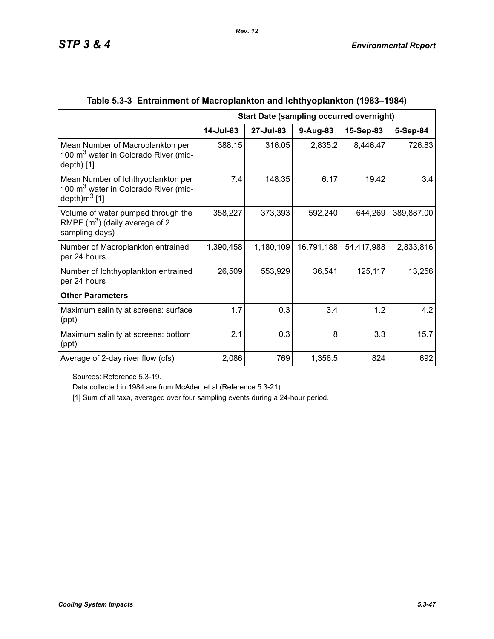|                                                                                                            | <b>Start Date (sampling occurred overnight)</b> |           |            |            |            |
|------------------------------------------------------------------------------------------------------------|-------------------------------------------------|-----------|------------|------------|------------|
|                                                                                                            | 14-Jul-83                                       | 27-Jul-83 | $9-Aug-83$ | 15-Sep-83  | 5-Sep-84   |
| Mean Number of Macroplankton per<br>100 m <sup>3</sup> water in Colorado River (mid-<br>$depth)$ [1]       | 388.15                                          | 316.05    | 2,835.2    | 8,446.47   | 726.83     |
| Mean Number of Ichthyoplankton per<br>100 m <sup>3</sup> water in Colorado River (mid-<br>depth) $m^3$ [1] | 7.4                                             | 148.35    | 6.17       | 19.42      | 3.4        |
| Volume of water pumped through the<br>RMPF $(m^3)$ (daily average of 2<br>sampling days)                   | 358,227                                         | 373,393   | 592,240    | 644,269    | 389,887.00 |
| Number of Macroplankton entrained<br>per 24 hours                                                          | 1,390,458                                       | 1,180,109 | 16,791,188 | 54,417,988 | 2,833,816  |
| Number of Ichthyoplankton entrained<br>per 24 hours                                                        | 26,509                                          | 553,929   | 36,541     | 125,117    | 13,256     |
| <b>Other Parameters</b>                                                                                    |                                                 |           |            |            |            |
| Maximum salinity at screens: surface<br>(ppt)                                                              | 1.7                                             | 0.3       | 3.4        | 1.2        | 4.2        |
| Maximum salinity at screens: bottom<br>(ppt)                                                               | 2.1                                             | 0.3       | 8          | 3.3        | 15.7       |
| Average of 2-day river flow (cfs)                                                                          | 2,086                                           | 769       | 1,356.5    | 824        | 692        |

# **Table 5.3-3 Entrainment of Macroplankton and Ichthyoplankton (1983–1984)**

Sources: Reference 5.3-19.

Data collected in 1984 are from McAden et al (Reference 5.3-21).

[1] Sum of all taxa, averaged over four sampling events during a 24-hour period.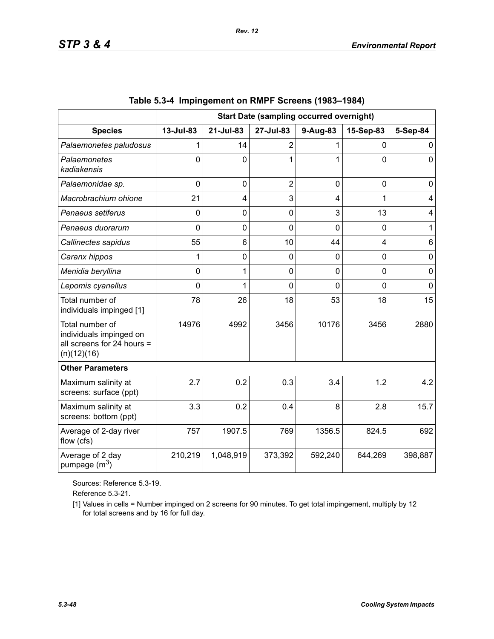|                                                                                         | <b>Start Date (sampling occurred overnight)</b> |                |                |          |                |             |
|-----------------------------------------------------------------------------------------|-------------------------------------------------|----------------|----------------|----------|----------------|-------------|
| <b>Species</b>                                                                          | 13-Jul-83                                       | 21-Jul-83      | 27-Jul-83      | 9-Aug-83 | 15-Sep-83      | 5-Sep-84    |
| Palaemonetes paludosus                                                                  |                                                 | 14             | $\overline{2}$ |          | 0              | 0           |
| Palaemonetes<br>kadiakensis                                                             | 0                                               | $\Omega$       | 1              |          | $\overline{0}$ | $\Omega$    |
| Palaemonidae sp.                                                                        | $\Omega$                                        | $\mathbf 0$    | $\overline{2}$ | 0        | $\overline{0}$ | 0           |
| Macrobrachium ohione                                                                    | 21                                              | 4              | 3              | 4        | 1              | 4           |
| Penaeus setiferus                                                                       | $\Omega$                                        | $\mathbf 0$    | 0              | 3        | 13             | 4           |
| Penaeus duorarum                                                                        | 0                                               | $\mathbf 0$    | $\overline{0}$ | 0        | $\overline{0}$ | 1           |
| Callinectes sapidus                                                                     | 55                                              | 6              | 10             | 44       | 4              | 6           |
| Caranx hippos                                                                           | 1                                               | $\overline{0}$ | 0              | 0        | $\overline{0}$ | $\mathbf 0$ |
| Menidia beryllina                                                                       | 0                                               | 1              | $\mathbf 0$    | 0        | $\mathbf 0$    | $\mathbf 0$ |
| Lepomis cyanellus                                                                       | 0                                               | 1              | $\Omega$       | 0        | $\overline{0}$ | $\mathbf 0$ |
| Total number of<br>individuals impinged [1]                                             | 78                                              | 26             | 18             | 53       | 18             | 15          |
| Total number of<br>individuals impinged on<br>all screens for 24 hours =<br>(n)(12)(16) | 14976                                           | 4992           | 3456           | 10176    | 3456           | 2880        |
| <b>Other Parameters</b>                                                                 |                                                 |                |                |          |                |             |
| Maximum salinity at<br>screens: surface (ppt)                                           | 2.7                                             | 0.2            | 0.3            | 3.4      | 1.2            | 4.2         |
| Maximum salinity at<br>screens: bottom (ppt)                                            | 3.3                                             | 0.2            | 0.4            | 8        | 2.8            | 15.7        |
| Average of 2-day river<br>flow (cfs)                                                    | 757                                             | 1907.5         | 769            | 1356.5   | 824.5          | 692         |
| Average of 2 day<br>pumpage (m <sup>3</sup> )                                           | 210,219                                         | 1,048,919      | 373,392        | 592,240  | 644,269        | 398,887     |

|  | Table 5.3-4 Impingement on RMPF Screens (1983–1984) |  |  |  |
|--|-----------------------------------------------------|--|--|--|
|--|-----------------------------------------------------|--|--|--|

Sources: Reference 5.3-19.

Reference 5.3-21.

[1] Values in cells = Number impinged on 2 screens for 90 minutes. To get total impingement, multiply by 12 for total screens and by 16 for full day.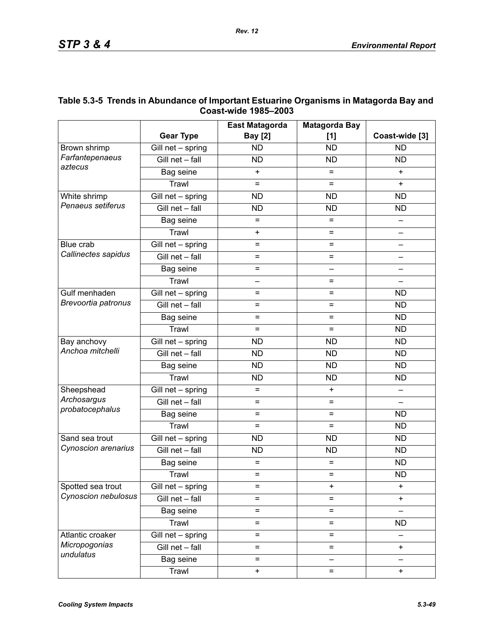|                     |                                 | <b>East Matagorda</b>    | <b>Matagorda Bay</b>     |                          |
|---------------------|---------------------------------|--------------------------|--------------------------|--------------------------|
|                     | <b>Gear Type</b>                | <b>Bay [2]</b>           | [1]                      | Coast-wide [3]           |
| Brown shrimp        | Gill net - spring               | <b>ND</b>                | <b>ND</b>                | <b>ND</b>                |
| Farfantepenaeus     | Gill net - fall                 | <b>ND</b>                | <b>ND</b>                | <b>ND</b>                |
| aztecus             | Bag seine                       | $\ddot{}$                | $=$                      | $+$                      |
|                     | Trawl                           | $=$                      | $=$                      | $\ddot{}$                |
| White shrimp        | $\overline{G}$ ill net - spring | <b>ND</b>                | <b>ND</b>                | <b>ND</b>                |
| Penaeus setiferus   | Gill net - fall                 | <b>ND</b><br><b>ND</b>   |                          | <b>ND</b>                |
|                     | Bag seine                       | $=$<br>$=$               |                          |                          |
|                     | Trawl                           | $\ddot{}$                | $=$                      | $\overline{\phantom{0}}$ |
| Blue crab           | $\overline{G}$ ill net - spring | $=$                      | =                        |                          |
| Callinectes sapidus | Gill net - fall                 | $=$                      | $=$                      |                          |
|                     | Bag seine                       | $=$                      | $\overline{\phantom{0}}$ |                          |
|                     | Trawl                           | $\overline{\phantom{0}}$ | $=$                      | $\qquad \qquad -$        |
| Gulf menhaden       | Gill net - spring               | $=$                      | =                        | <b>ND</b>                |
| Brevoortia patronus | Gill net - fall                 | $=$                      | $=$                      | <b>ND</b>                |
|                     | Bag seine                       | $=$                      | $=$                      | <b>ND</b>                |
|                     | Trawl                           | $=$                      | $=$                      | <b>ND</b>                |
| Bay anchovy         | $\overline{G}$ ill net - spring | <b>ND</b>                | <b>ND</b>                | <b>ND</b>                |
| Anchoa mitchelli    | Gill net - fall                 | <b>ND</b>                | <b>ND</b>                | <b>ND</b>                |
|                     | Bag seine                       | <b>ND</b>                | <b>ND</b>                | <b>ND</b>                |
|                     | Trawl                           | <b>ND</b>                | <b>ND</b>                | <b>ND</b>                |
| Sheepshead          | Gill net - spring               | $=$                      | $\ddot{}$                |                          |
| Archosargus         | Gill net - fall                 | $=$                      | $=$                      |                          |
| probatocephalus     | Bag seine                       | $=$                      | $=$                      | <b>ND</b>                |
|                     | Trawl                           | $=$                      | $=$                      | <b>ND</b>                |
| Sand sea trout      | Gill net - spring               | <b>ND</b>                | <b>ND</b>                | <b>ND</b>                |
| Cynoscion arenarius | Gill net - fall                 | <b>ND</b>                | <b>ND</b>                | <b>ND</b>                |
|                     | Bag seine                       | $=$                      | $=$                      |                          |
|                     | Trawl                           | $=$                      | $=$                      | <b>ND</b>                |
| Spotted sea trout   | Gill net - spring               | $=$                      | $\ddot{}$                | $\ddot{}$                |
| Cynoscion nebulosus | Gill net - fall                 | $=$                      | $=$                      | $\ddot{}$                |
|                     | Bag seine                       | $=$                      | $=$                      |                          |
|                     | Trawl                           | $=$                      | $=$                      | <b>ND</b>                |
| Atlantic croaker    | Gill net - spring               | $=$                      | $=$                      |                          |
| Micropogonias       | Gill net - fall                 | $=$                      | $=$                      | $\ddot{}$                |
| undulatus           | Bag seine                       | $=$                      | —                        |                          |
|                     | Trawl                           | $\ddot{}$                | $=$                      | $\ddot{}$                |

### **Table 5.3-5 Trends in Abundance of Important Estuarine Organisms in Matagorda Bay and Coast-wide 1985–2003**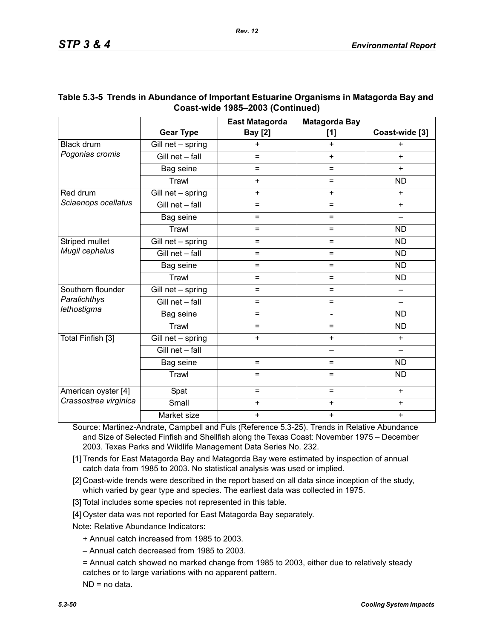|                                   |                   | <b>East Matagorda</b> | <b>Matagorda Bay</b> |                          |
|-----------------------------------|-------------------|-----------------------|----------------------|--------------------------|
|                                   | <b>Gear Type</b>  | <b>Bay [2]</b>        | [1]                  | Coast-wide [3]           |
| <b>Black drum</b>                 | Gill net - spring | $\ddot{}$             | $+$                  | $\ddot{}$                |
| Pogonias cromis                   | Gill net - fall   | $=$                   | $+$                  | $+$                      |
|                                   | Bag seine         | $=$                   | Ξ                    | $+$                      |
|                                   | Trawl             | $\ddot{}$             | $=$                  | <b>ND</b>                |
| Red drum                          | Gill net - spring | $+$                   | $+$                  | $+$                      |
| Sciaenops ocellatus               | Gill net - fall   | $=$                   | $=$                  | $+$                      |
|                                   | Bag seine         | $=$                   | $=$                  | —                        |
|                                   | Trawl             | $=$                   | $=$                  | <b>ND</b>                |
| Striped mullet                    | Gill net - spring | $=$                   | Ξ                    | <b>ND</b>                |
| Mugil cephalus                    | Gill net - fall   | $=$                   | $=$                  | <b>ND</b>                |
|                                   | Bag seine         | $=$                   | $=$                  | <b>ND</b>                |
|                                   | Trawl             | $=$                   | Ξ.                   | <b>ND</b>                |
| Southern flounder<br>Paralichthys | Gill net - spring | $=$                   | =                    |                          |
|                                   | Gill net - fall   | $=$                   | $=$                  |                          |
| lethostigma                       | Bag seine         | $=$                   | $\blacksquare$       | <b>ND</b>                |
|                                   | Trawl             | $=$                   | $=$                  | <b>ND</b>                |
| Total Finfish [3]                 | Gill net - spring | $+$                   | $+$                  | $+$                      |
|                                   | Gill net - fall   |                       | <u>.</u>             | $\overline{\phantom{0}}$ |
|                                   | Bag seine         | $=$                   | =                    | <b>ND</b>                |
|                                   | Trawl             | $=$                   | $=$                  | <b>ND</b>                |
| American oyster [4]               | Spat              | $=$                   | $=$                  | $+$                      |
| Crassostrea virginica             | Small             | $\ddot{}$             | $\ddot{}$            | $\ddot{}$                |
|                                   | Market size       | $\ddot{}$             | $\ddot{}$            | $\ddot{}$                |

### **Table 5.3-5 Trends in Abundance of Important Estuarine Organisms in Matagorda Bay and Coast-wide 1985–2003 (Continued)**

Source: Martinez-Andrate, Campbell and Fuls (Reference 5.3-25). Trends in Relative Abundance and Size of Selected Finfish and Shellfish along the Texas Coast: November 1975 – December 2003. Texas Parks and Wildlife Management Data Series No. 232.

[1] Trends for East Matagorda Bay and Matagorda Bay were estimated by inspection of annual catch data from 1985 to 2003. No statistical analysis was used or implied.

[2] Coast-wide trends were described in the report based on all data since inception of the study, which varied by gear type and species. The earliest data was collected in 1975.

[3] Total includes some species not represented in this table.

[4] Oyster data was not reported for East Matagorda Bay separately.

Note: Relative Abundance Indicators:

+ Annual catch increased from 1985 to 2003.

– Annual catch decreased from 1985 to 2003.

= Annual catch showed no marked change from 1985 to 2003, either due to relatively steady catches or to large variations with no apparent pattern.

ND = no data.